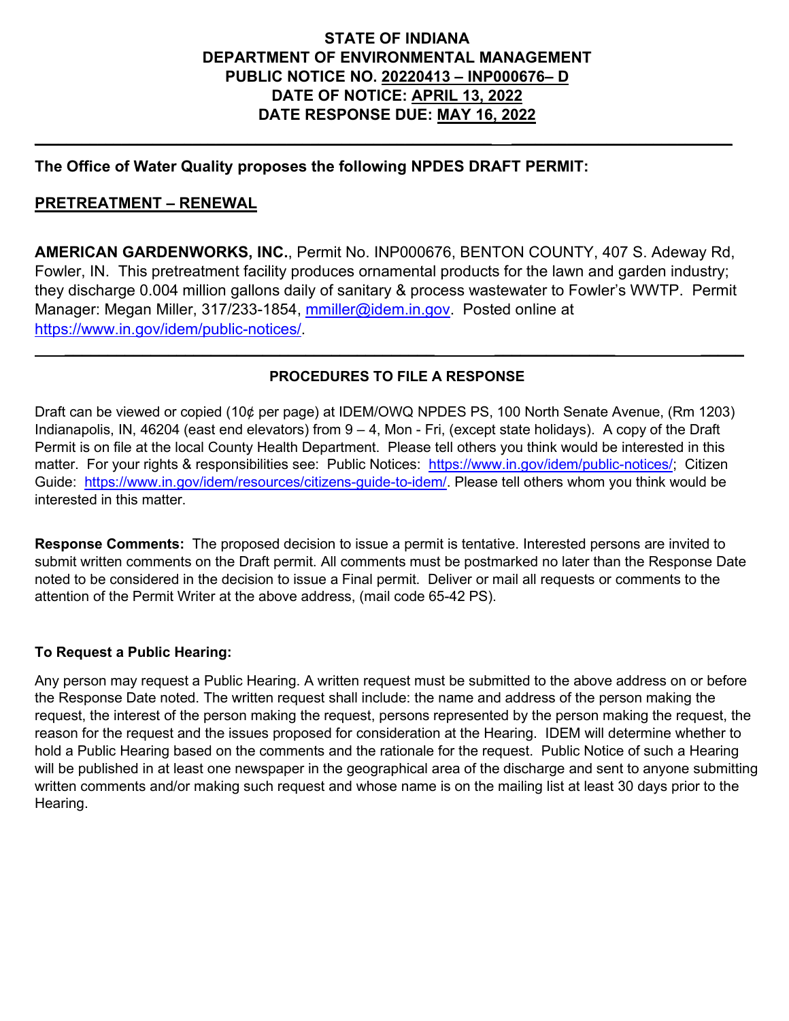### **STATE OF INDIANA DEPARTMENT OF ENVIRONMENTAL MANAGEMENT PUBLIC NOTICE NO. 20220413 – INP000676– D DATE OF NOTICE: APRIL 13, 2022 DATE RESPONSE DUE: MAY 16, 2022**

**\_\_\_\_\_\_\_\_\_\_\_\_\_\_\_\_\_\_\_\_\_\_\_\_\_\_\_\_\_\_\_\_\_\_\_\_\_\_\_\_\_\_\_\_\_\_\_\_\_\_\_\_\_\_\_\_\_\_ \_\_\_\_\_\_\_\_\_\_\_\_\_\_\_\_\_\_\_\_\_\_\_\_\_\_\_\_**

#### **The Office of Water Quality proposes the following NPDES DRAFT PERMIT:**

#### **PRETREATMENT – RENEWAL**

**AMERICAN GARDENWORKS, INC.**, Permit No. INP000676, BENTON COUNTY, 407 S. Adeway Rd, Fowler, IN. This pretreatment facility produces ornamental products for the lawn and garden industry; they discharge 0.004 million gallons daily of sanitary & process wastewater to Fowler's WWTP. Permit Manager: Megan Miller, 317/233-1854, [mmiller@idem.in.gov.](mailto:mmiller@idem.in.gov) Posted online at [https://www.in.gov/idem/public-notices/.](https://www.in.gov/idem/public-notices/)

#### **PROCEDURES TO FILE A RESPONSE**

 **\_\_\_\_\_\_\_\_\_\_\_\_\_\_\_\_\_\_\_\_\_\_\_\_\_\_\_\_\_\_\_\_\_\_\_\_\_\_\_\_\_\_\_ \_\_\_\_\_\_\_\_\_\_\_\_\_\_ \_\_\_\_\_**

Draft can be viewed or copied (10¢ per page) at IDEM/OWQ NPDES PS, 100 North Senate Avenue, (Rm 1203) Indianapolis, IN, 46204 (east end elevators) from 9 – 4, Mon - Fri, (except state holidays). A copy of the Draft Permit is on file at the local County Health Department. Please tell others you think would be interested in this matter. For your rights & responsibilities see: Public Notices: [https://www.in.gov/idem/public-notices/;](https://www.in.gov/idem/public-notices/) Citizen Guide: [https://www.in.gov/idem/resources/citizens-guide-to-idem/.](https://www.in.gov/idem/resources/citizens-guide-to-idem/) Please tell others whom you think would be interested in this matter.

**Response Comments:** The proposed decision to issue a permit is tentative. Interested persons are invited to submit written comments on the Draft permit. All comments must be postmarked no later than the Response Date noted to be considered in the decision to issue a Final permit. Deliver or mail all requests or comments to the attention of the Permit Writer at the above address, (mail code 65-42 PS).

#### **To Request a Public Hearing:**

Any person may request a Public Hearing. A written request must be submitted to the above address on or before the Response Date noted. The written request shall include: the name and address of the person making the request, the interest of the person making the request, persons represented by the person making the request, the reason for the request and the issues proposed for consideration at the Hearing. IDEM will determine whether to hold a Public Hearing based on the comments and the rationale for the request. Public Notice of such a Hearing will be published in at least one newspaper in the geographical area of the discharge and sent to anyone submitting written comments and/or making such request and whose name is on the mailing list at least 30 days prior to the Hearing.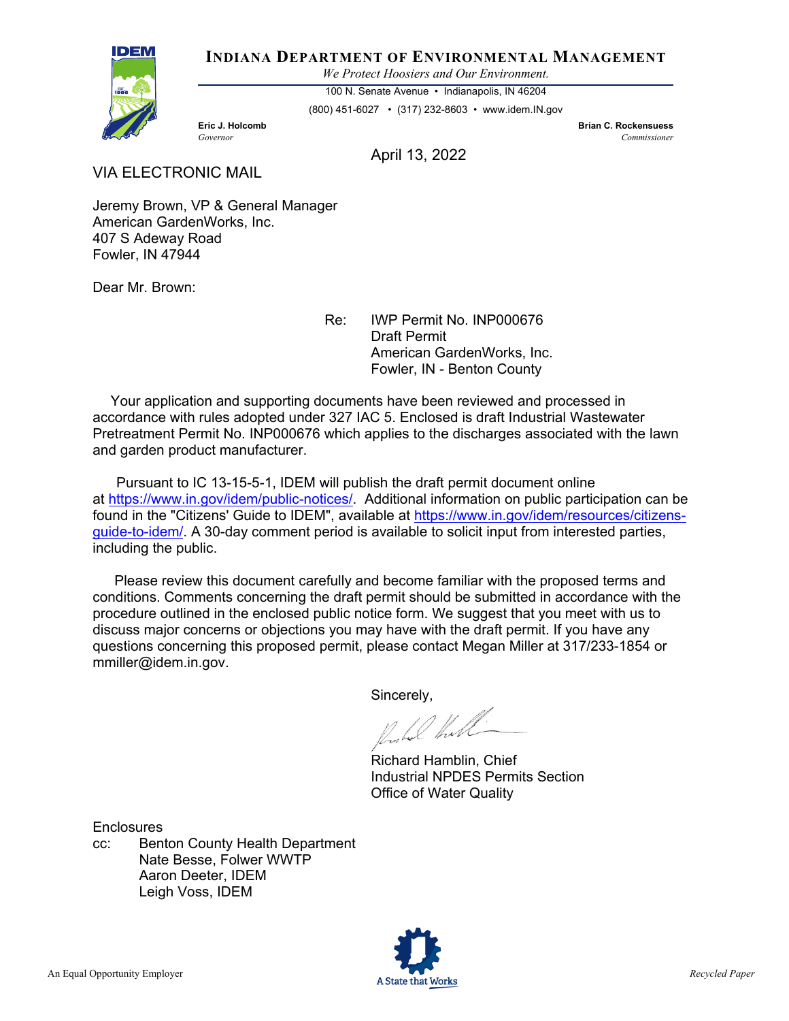

#### **INDIANA DEPARTMENT OF ENVIRONMENTAL MANAGEMENT**

*We Protect Hoosiers and Our Environment.*

100 N. Senate Avenue • Indianapolis, IN 46204

(800) 451-6027 • (317) 232-8603 • www.idem.IN.gov

**Eric J. Holcomb Brian C. Rockensuess** *Governor Commissioner* 

April 13, 2022

VIA ELECTRONIC MAIL

Jeremy Brown, VP & General Manager American GardenWorks, Inc. 407 S Adeway Road Fowler, IN 47944

Dear Mr. Brown:

Re: IWP Permit No. INP000676 Draft Permit American GardenWorks, Inc. Fowler, IN - Benton County

 Your application and supporting documents have been reviewed and processed in accordance with rules adopted under 327 IAC 5. Enclosed is draft Industrial Wastewater Pretreatment Permit No. INP000676 which applies to the discharges associated with the lawn and garden product manufacturer.

 Pursuant to IC 13-15-5-1, IDEM will publish the draft permit document online at [https://www.in.gov/idem/public-notices/.](https://www.in.gov/idem/public-notices/) Additional information on public participation can be found in the "Citizens' Guide to IDEM", available at [https://www.in.gov/idem/resources/citizens](https://www.in.gov/idem/resources/citizens-guide-to-idem/)[guide-to-idem/.](https://www.in.gov/idem/resources/citizens-guide-to-idem/) A 30-day comment period is available to solicit input from interested parties, including the public.

 Please review this document carefully and become familiar with the proposed terms and conditions. Comments concerning the draft permit should be submitted in accordance with the procedure outlined in the enclosed public notice form. We suggest that you meet with us to discuss major concerns or objections you may have with the draft permit. If you have any questions concerning this proposed permit, please contact Megan Miller at 317/233-1854 or mmiller@idem.in.gov.

Sincerely,

Probal Hall

Richard Hamblin, Chief Industrial NPDES Permits Section Office of Water Quality

**Enclosures** 

cc: Benton County Health Department Nate Besse, Folwer WWTP Aaron Deeter, IDEM Leigh Voss, IDEM

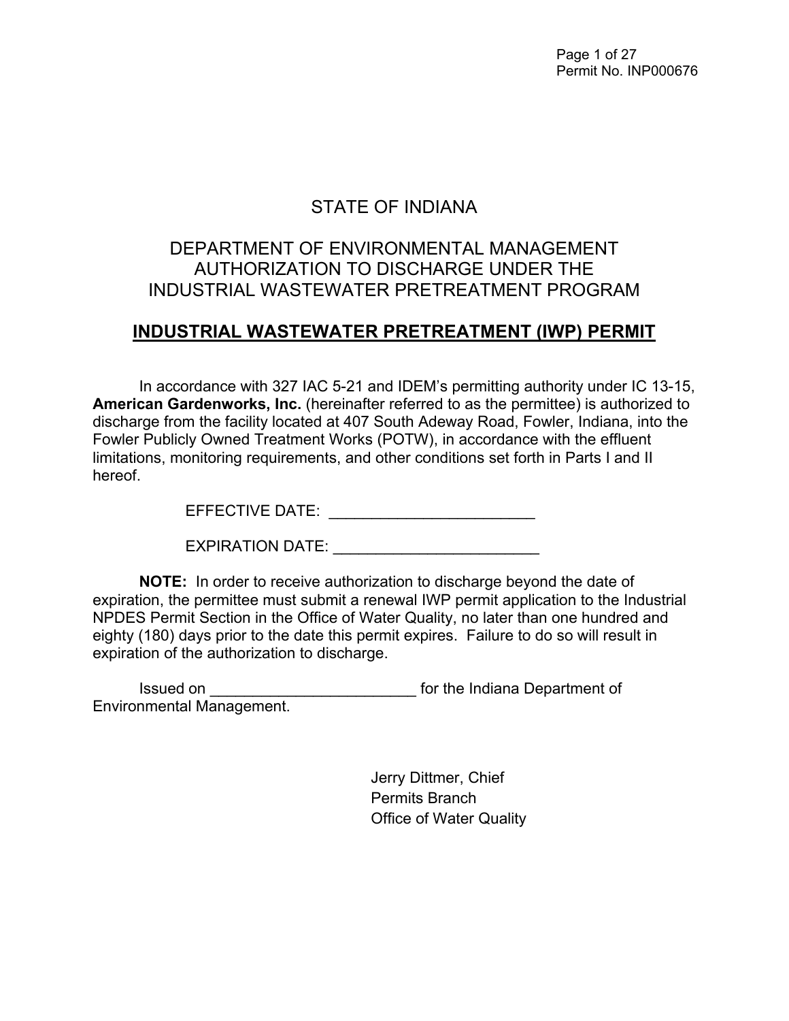Page 1 of 27 Permit No. INP000676

# STATE OF INDIANA

## DEPARTMENT OF ENVIRONMENTAL MANAGEMENT AUTHORIZATION TO DISCHARGE UNDER THE INDUSTRIAL WASTEWATER PRETREATMENT PROGRAM

## **INDUSTRIAL WASTEWATER PRETREATMENT (IWP) PERMIT**

In accordance with 327 IAC 5-21 and IDEM's permitting authority under IC 13-15, **American Gardenworks, Inc.** (hereinafter referred to as the permittee) is authorized to discharge from the facility located at 407 South Adeway Road, Fowler, Indiana, into the Fowler Publicly Owned Treatment Works (POTW), in accordance with the effluent limitations, monitoring requirements, and other conditions set forth in Parts I and II hereof.

EFFECTIVE DATE: \_\_\_\_\_\_\_\_\_\_\_\_\_\_\_\_\_\_\_\_\_\_\_\_

| <b>EXPIRATION DATE:</b> |  |
|-------------------------|--|
|                         |  |

**NOTE:** In order to receive authorization to discharge beyond the date of expiration, the permittee must submit a renewal IWP permit application to the Industrial NPDES Permit Section in the Office of Water Quality, no later than one hundred and eighty (180) days prior to the date this permit expires. Failure to do so will result in expiration of the authorization to discharge.

Issued on \_\_\_\_\_\_\_\_\_\_\_\_\_\_\_\_\_\_\_\_\_\_\_\_ for the Indiana Department of Environmental Management.

> Jerry Dittmer, Chief Permits Branch Office of Water Quality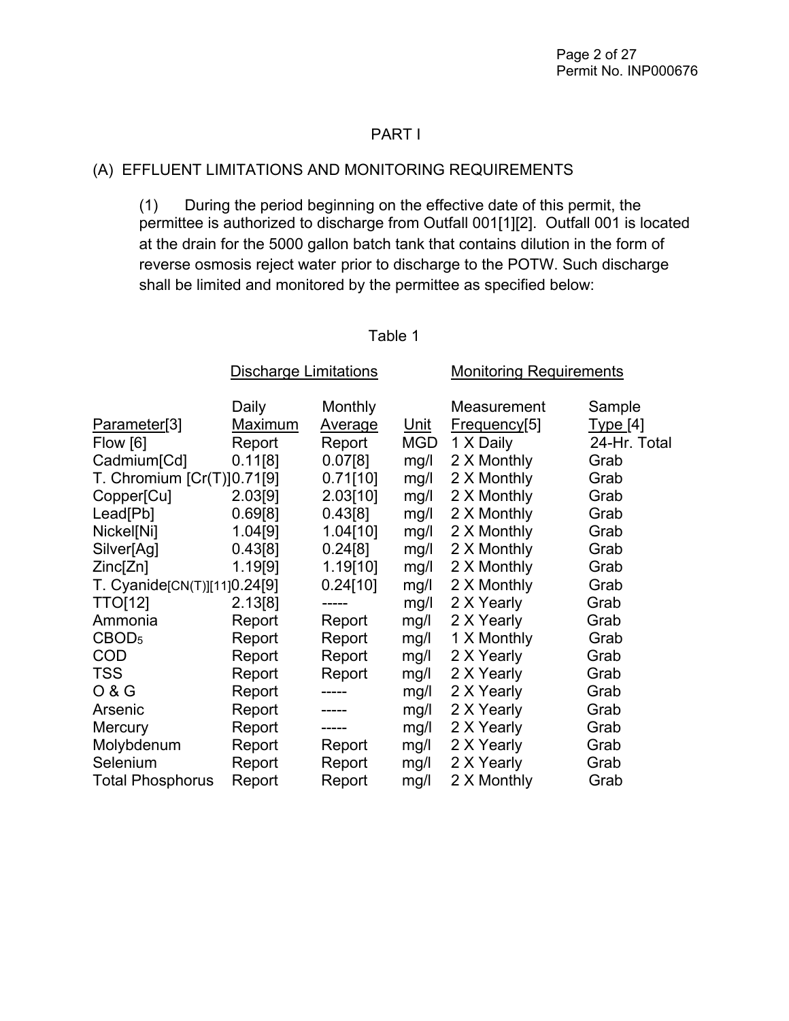#### PART I

#### (A) EFFLUENT LIMITATIONS AND MONITORING REQUIREMENTS

 (1) During the period beginning on the effective date of this permit, the permittee is authorized to discharge from Outfall 001[1][2]. Outfall 001 is located at the drain for the 5000 gallon batch tank that contains dilution in the form of reverse osmosis reject water prior to discharge to the POTW. Such discharge shall be limited and monitored by the permittee as specified below:

|                              | <b>Discharge Limitations</b> |                | <b>Monitoring Requirements</b> |              |              |
|------------------------------|------------------------------|----------------|--------------------------------|--------------|--------------|
|                              | Daily                        | Monthly        |                                | Measurement  | Sample       |
| Parameter[3]                 | <u>Maximum</u>               | <b>Average</b> | <u>Unit</u>                    | Frequency[5] | Type [4]     |
| Flow [6]                     | Report                       | Report         | <b>MGD</b>                     | 1 X Daily    | 24-Hr. Total |
| Cadmium <sup>[Cd]</sup>      | 0.11[8]                      | 0.07[8]        | mg/l                           | 2 X Monthly  | Grab         |
| T. Chromium [Cr(T)]0.71[9]   |                              | 0.71[10]       | mg/l                           | 2 X Monthly  | Grab         |
| Copper[Cu]                   | 2.03[9]                      | 2.03[10]       | mg/l                           | 2 X Monthly  | Grab         |
| Lead[Pb]                     | 0.69[8]                      | 0.43[8]        | mg/l                           | 2 X Monthly  | Grab         |
| Nickel[Ni]                   | 1.04[9]                      | 1.04[10]       | mg/l                           | 2 X Monthly  | Grab         |
| Silver[Ag]                   | 0.43[8]                      | 0.24[8]        | mg/l                           | 2 X Monthly  | Grab         |
| Zinc[Zn]                     | 1.19[9]                      | 1.19[10]       | mg/l                           | 2 X Monthly  | Grab         |
| T. Cyanide[CN(T)][11]0.24[9] |                              | 0.24[10]       | mg/l                           | 2 X Monthly  | Grab         |
| <b>TTO[12]</b>               | 2.13[8]                      | -----          | mg/l                           | 2 X Yearly   | Grab         |
| Ammonia                      | Report                       | Report         | mg/l                           | 2 X Yearly   | Grab         |
| CBOD <sub>5</sub>            | Report                       | Report         | mg/l                           | 1 X Monthly  | Grab         |
| <b>COD</b>                   | Report                       | Report         | mg/l                           | 2 X Yearly   | Grab         |
| <b>TSS</b>                   | Report                       | Report         | mg/l                           | 2 X Yearly   | Grab         |
| 0 & G                        | Report                       | -----          | mg/l                           | 2 X Yearly   | Grab         |
| Arsenic                      | Report                       |                | mg/l                           | 2 X Yearly   | Grab         |
| <b>Mercury</b>               | Report                       |                | mg/l                           | 2 X Yearly   | Grab         |
| Molybdenum                   | Report                       | Report         | mg/l                           | 2 X Yearly   | Grab         |
| Selenium                     | Report                       | Report         | mg/l                           | 2 X Yearly   | Grab         |
| <b>Total Phosphorus</b>      | Report                       | Report         | mg/l                           | 2 X Monthly  | Grab         |

#### Table 1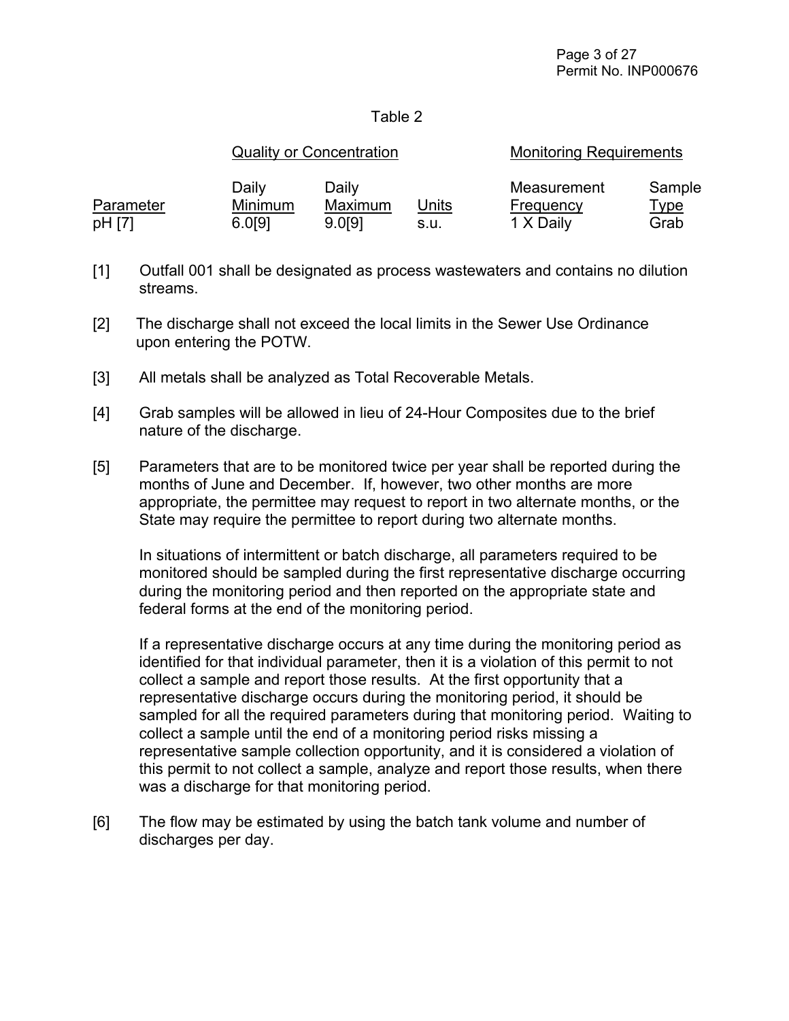#### Table 2

|                     |                            | <b>Quality or Concentration</b> |               | <b>Monitoring Requirements</b>        |                               |  |
|---------------------|----------------------------|---------------------------------|---------------|---------------------------------------|-------------------------------|--|
| Parameter<br>pH [7] | Daily<br>Minimum<br>6.0[9] | Daily<br>Maximum<br>9.0191      | Units<br>s.u. | Measurement<br>Frequency<br>1 X Daily | Sample<br><u>Type</u><br>Grab |  |

- [1] Outfall 001 shall be designated as process wastewaters and contains no dilution streams.
- [2] The discharge shall not exceed the local limits in the Sewer Use Ordinance upon entering the POTW.
- [3] All metals shall be analyzed as Total Recoverable Metals.
- [4] Grab samples will be allowed in lieu of 24-Hour Composites due to the brief nature of the discharge.
- [5] Parameters that are to be monitored twice per year shall be reported during the months of June and December. If, however, two other months are more appropriate, the permittee may request to report in two alternate months, or the State may require the permittee to report during two alternate months.

In situations of intermittent or batch discharge, all parameters required to be monitored should be sampled during the first representative discharge occurring during the monitoring period and then reported on the appropriate state and federal forms at the end of the monitoring period.

If a representative discharge occurs at any time during the monitoring period as identified for that individual parameter, then it is a violation of this permit to not collect a sample and report those results. At the first opportunity that a representative discharge occurs during the monitoring period, it should be sampled for all the required parameters during that monitoring period. Waiting to collect a sample until the end of a monitoring period risks missing a representative sample collection opportunity, and it is considered a violation of this permit to not collect a sample, analyze and report those results, when there was a discharge for that monitoring period.

[6] The flow may be estimated by using the batch tank volume and number of discharges per day.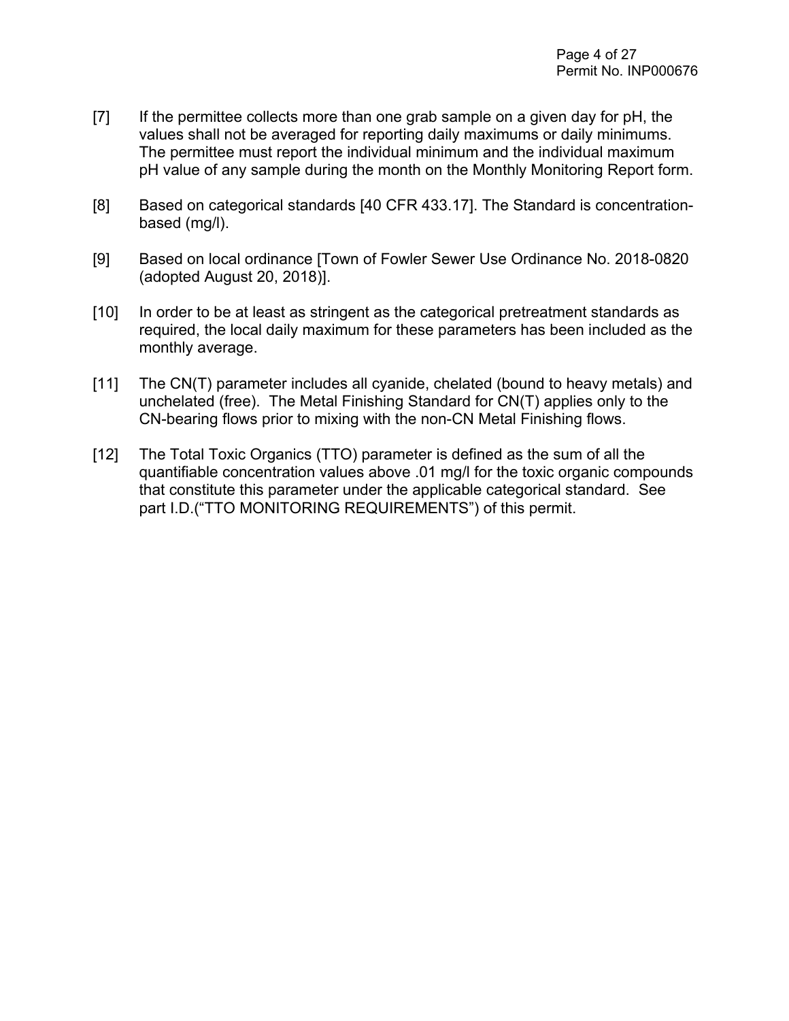- [7] If the permittee collects more than one grab sample on a given day for pH, the values shall not be averaged for reporting daily maximums or daily minimums. The permittee must report the individual minimum and the individual maximum pH value of any sample during the month on the Monthly Monitoring Report form.
- [8] Based on categorical standards [40 CFR 433.17]. The Standard is concentrationbased (mg/l).
- [9] Based on local ordinance [Town of Fowler Sewer Use Ordinance No. 2018-0820 (adopted August 20, 2018)].
- [10] In order to be at least as stringent as the categorical pretreatment standards as required, the local daily maximum for these parameters has been included as the monthly average.
- [11] The CN(T) parameter includes all cyanide, chelated (bound to heavy metals) and unchelated (free). The Metal Finishing Standard for CN(T) applies only to the CN-bearing flows prior to mixing with the non-CN Metal Finishing flows.
- [12] The Total Toxic Organics (TTO) parameter is defined as the sum of all the quantifiable concentration values above .01 mg/l for the toxic organic compounds that constitute this parameter under the applicable categorical standard. See part I.D.("TTO MONITORING REQUIREMENTS") of this permit.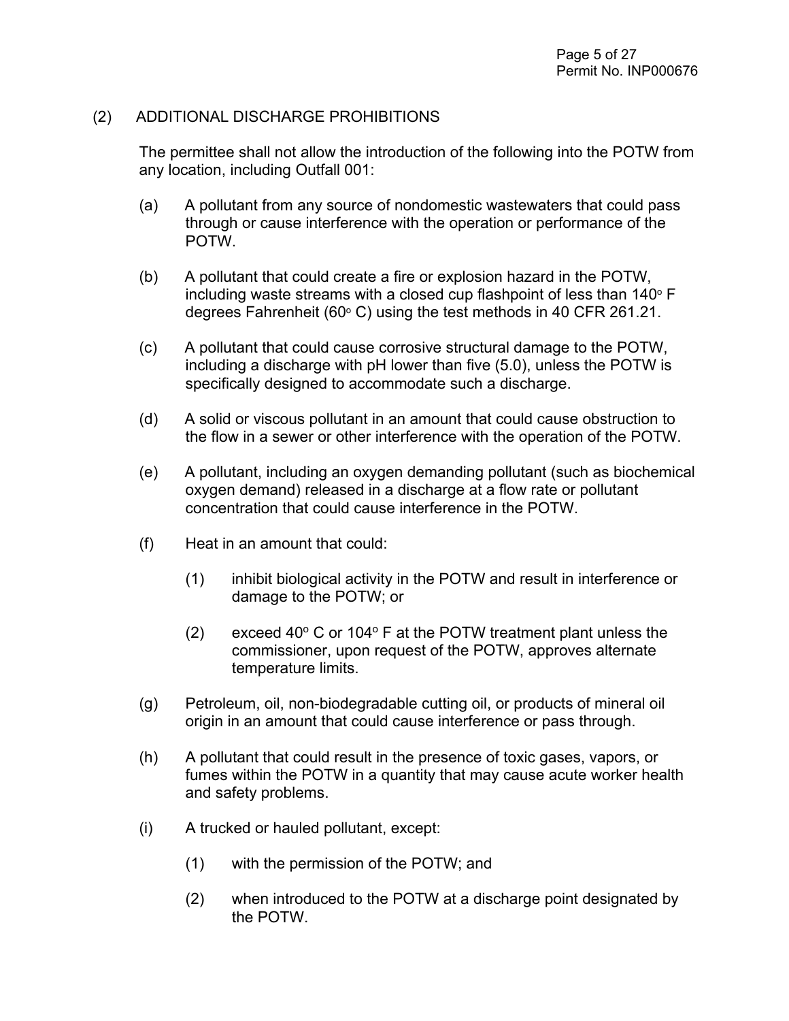#### (2) ADDITIONAL DISCHARGE PROHIBITIONS

The permittee shall not allow the introduction of the following into the POTW from any location, including Outfall 001:

- (a) A pollutant from any source of nondomestic wastewaters that could pass through or cause interference with the operation or performance of the POTW.
- (b) A pollutant that could create a fire or explosion hazard in the POTW, including waste streams with a closed cup flashpoint of less than  $140^\circ$  F degrees Fahrenheit (60 $\degree$  C) using the test methods in 40 CFR 261.21.
- (c) A pollutant that could cause corrosive structural damage to the POTW, including a discharge with pH lower than five (5.0), unless the POTW is specifically designed to accommodate such a discharge.
- (d) A solid or viscous pollutant in an amount that could cause obstruction to the flow in a sewer or other interference with the operation of the POTW.
- (e) A pollutant, including an oxygen demanding pollutant (such as biochemical oxygen demand) released in a discharge at a flow rate or pollutant concentration that could cause interference in the POTW.
- (f) Heat in an amount that could:
	- (1) inhibit biological activity in the POTW and result in interference or damage to the POTW; or
	- (2) exceed 40 $\degree$  C or 104 $\degree$  F at the POTW treatment plant unless the commissioner, upon request of the POTW, approves alternate temperature limits.
- (g) Petroleum, oil, non-biodegradable cutting oil, or products of mineral oil origin in an amount that could cause interference or pass through.
- (h) A pollutant that could result in the presence of toxic gases, vapors, or fumes within the POTW in a quantity that may cause acute worker health and safety problems.
- (i) A trucked or hauled pollutant, except:
	- (1) with the permission of the POTW; and
	- (2) when introduced to the POTW at a discharge point designated by the POTW.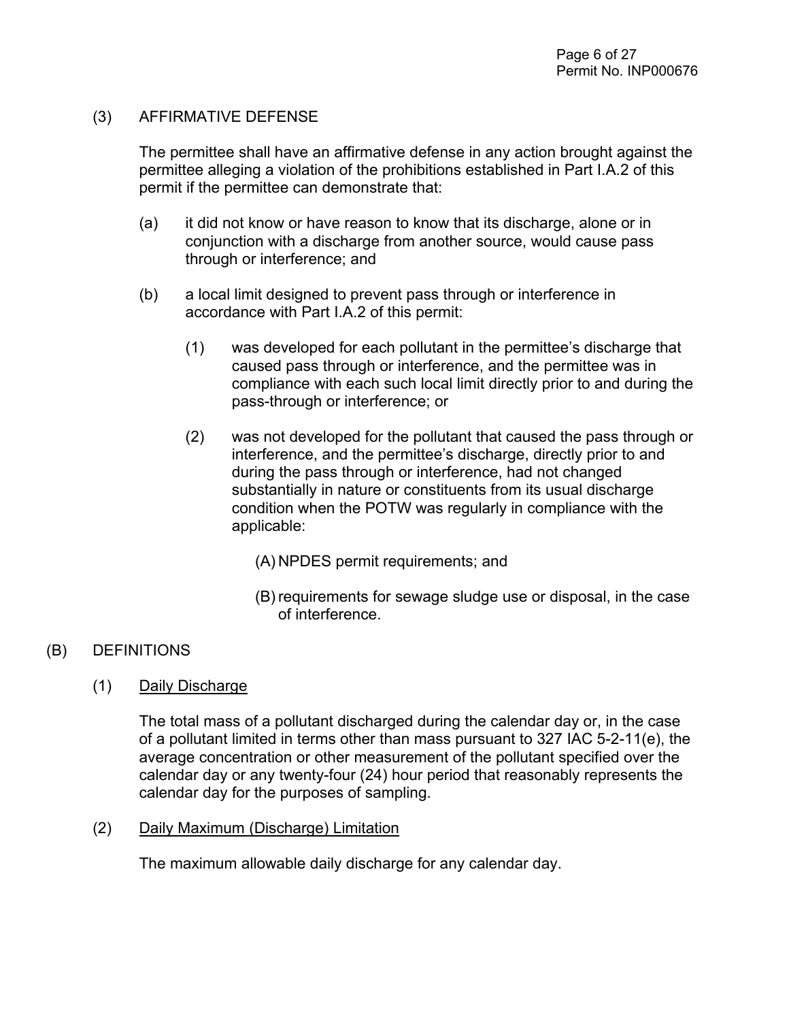#### (3) AFFIRMATIVE DEFENSE

The permittee shall have an affirmative defense in any action brought against the permittee alleging a violation of the prohibitions established in Part I.A.2 of this permit if the permittee can demonstrate that:

- (a) it did not know or have reason to know that its discharge, alone or in conjunction with a discharge from another source, would cause pass through or interference; and
- (b) a local limit designed to prevent pass through or interference in accordance with Part I.A.2 of this permit:
	- (1) was developed for each pollutant in the permittee's discharge that caused pass through or interference, and the permittee was in compliance with each such local limit directly prior to and during the pass-through or interference; or
	- (2) was not developed for the pollutant that caused the pass through or interference, and the permittee's discharge, directly prior to and during the pass through or interference, had not changed substantially in nature or constituents from its usual discharge condition when the POTW was regularly in compliance with the applicable:
		- (A) NPDES permit requirements; and
		- (B) requirements for sewage sludge use or disposal, in the case of interference.

### (B) DEFINITIONS

(1) Daily Discharge

The total mass of a pollutant discharged during the calendar day or, in the case of a pollutant limited in terms other than mass pursuant to 327 IAC 5-2-11(e), the average concentration or other measurement of the pollutant specified over the calendar day or any twenty-four (24) hour period that reasonably represents the calendar day for the purposes of sampling.

#### (2) Daily Maximum (Discharge) Limitation

The maximum allowable daily discharge for any calendar day.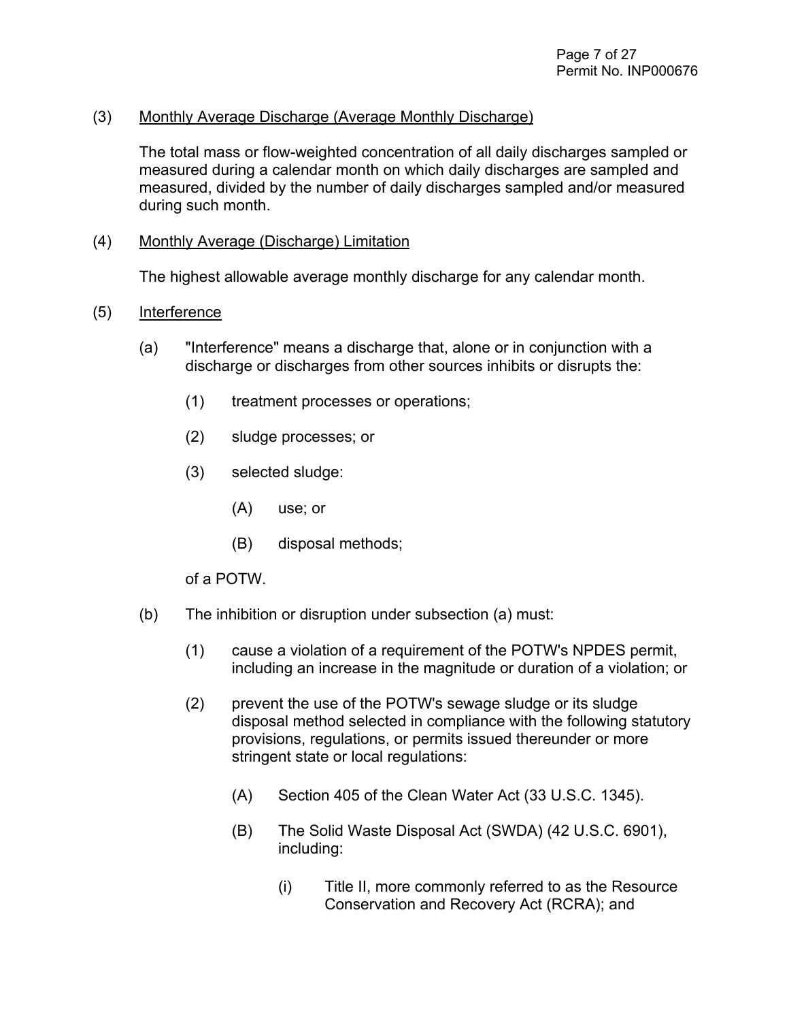#### (3) Monthly Average Discharge (Average Monthly Discharge)

The total mass or flow-weighted concentration of all daily discharges sampled or measured during a calendar month on which daily discharges are sampled and measured, divided by the number of daily discharges sampled and/or measured during such month.

#### (4) Monthly Average (Discharge) Limitation

The highest allowable average monthly discharge for any calendar month.

#### (5) Interference

- (a) "Interference" means a discharge that, alone or in conjunction with a discharge or discharges from other sources inhibits or disrupts the:
	- (1) treatment processes or operations;
	- (2) sludge processes; or
	- (3) selected sludge:
		- (A) use; or
		- (B) disposal methods;

#### of a POTW.

- (b) The inhibition or disruption under subsection (a) must:
	- (1) cause a violation of a requirement of the POTW's NPDES permit, including an increase in the magnitude or duration of a violation; or
	- (2) prevent the use of the POTW's sewage sludge or its sludge disposal method selected in compliance with the following statutory provisions, regulations, or permits issued thereunder or more stringent state or local regulations:
		- (A) Section 405 of the Clean Water Act (33 U.S.C. 1345).
		- (B) The Solid Waste Disposal Act (SWDA) (42 U.S.C. 6901), including:
			- (i) Title II, more commonly referred to as the Resource Conservation and Recovery Act (RCRA); and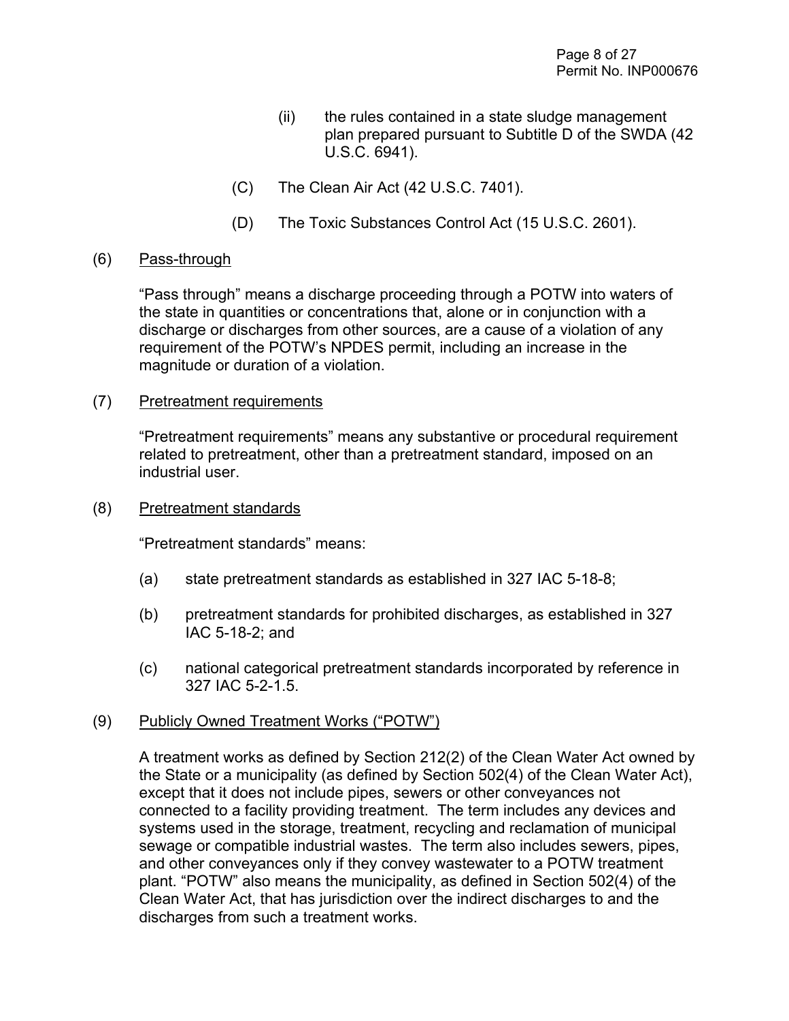- (ii) the rules contained in a state sludge management plan prepared pursuant to Subtitle D of the SWDA (42 U.S.C. 6941).
- (C) The Clean Air Act (42 U.S.C. 7401).
- (D) The Toxic Substances Control Act (15 U.S.C. 2601).

#### (6) Pass-through

"Pass through" means a discharge proceeding through a POTW into waters of the state in quantities or concentrations that, alone or in conjunction with a discharge or discharges from other sources, are a cause of a violation of any requirement of the POTW's NPDES permit, including an increase in the magnitude or duration of a violation.

(7) Pretreatment requirements

"Pretreatment requirements" means any substantive or procedural requirement related to pretreatment, other than a pretreatment standard, imposed on an industrial user.

(8) Pretreatment standards

"Pretreatment standards" means:

- (a) state pretreatment standards as established in 327 IAC 5-18-8;
- (b) pretreatment standards for prohibited discharges, as established in 327 IAC 5-18-2; and
- (c) national categorical pretreatment standards incorporated by reference in 327 IAC 5-2-1.5.

#### (9) Publicly Owned Treatment Works ("POTW")

A treatment works as defined by Section 212(2) of the Clean Water Act owned by the State or a municipality (as defined by Section 502(4) of the Clean Water Act), except that it does not include pipes, sewers or other conveyances not connected to a facility providing treatment. The term includes any devices and systems used in the storage, treatment, recycling and reclamation of municipal sewage or compatible industrial wastes. The term also includes sewers, pipes, and other conveyances only if they convey wastewater to a POTW treatment plant. "POTW" also means the municipality, as defined in Section 502(4) of the Clean Water Act, that has jurisdiction over the indirect discharges to and the discharges from such a treatment works.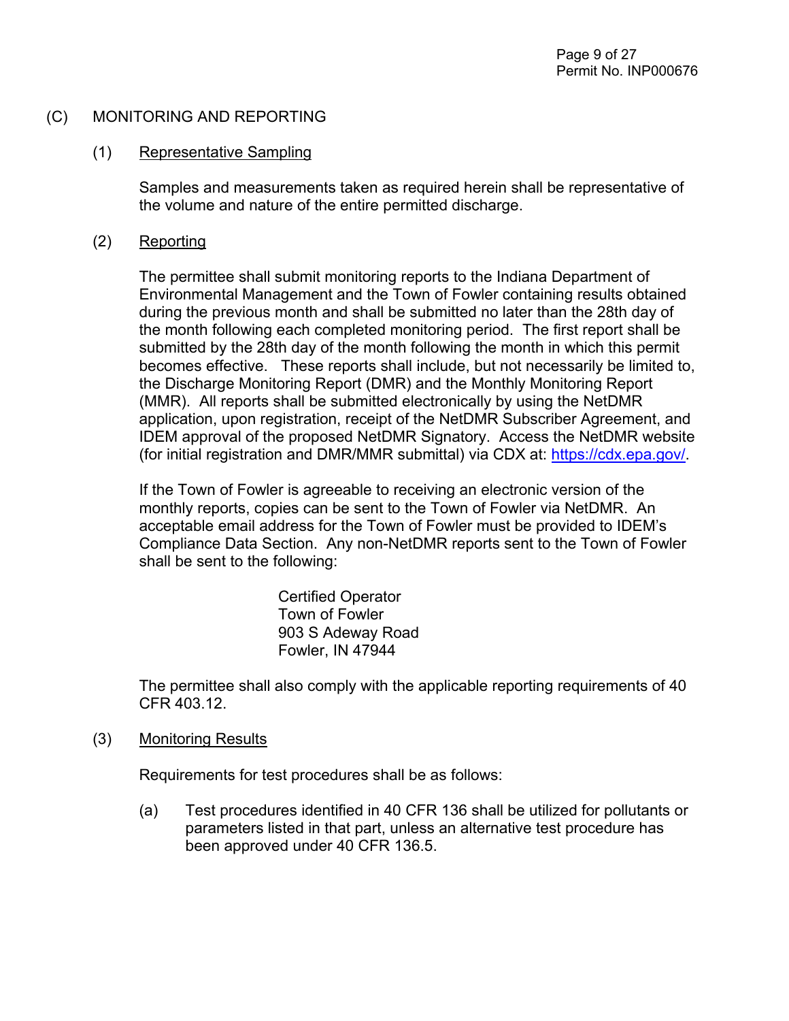#### (C) MONITORING AND REPORTING

#### (1) Representative Sampling

Samples and measurements taken as required herein shall be representative of the volume and nature of the entire permitted discharge.

#### (2) Reporting

The permittee shall submit monitoring reports to the Indiana Department of Environmental Management and the Town of Fowler containing results obtained during the previous month and shall be submitted no later than the 28th day of the month following each completed monitoring period. The first report shall be submitted by the 28th day of the month following the month in which this permit becomes effective. These reports shall include, but not necessarily be limited to, the Discharge Monitoring Report (DMR) and the Monthly Monitoring Report (MMR). All reports shall be submitted electronically by using the NetDMR application, upon registration, receipt of the NetDMR Subscriber Agreement, and IDEM approval of the proposed NetDMR Signatory. Access the NetDMR website (for initial registration and DMR/MMR submittal) via CDX at: [https://cdx.epa.gov/.](https://cdx.epa.gov/)

If the Town of Fowler is agreeable to receiving an electronic version of the monthly reports, copies can be sent to the Town of Fowler via NetDMR. An acceptable email address for the Town of Fowler must be provided to IDEM's Compliance Data Section. Any non-NetDMR reports sent to the Town of Fowler shall be sent to the following:

> Certified Operator Town of Fowler 903 S Adeway Road Fowler, IN 47944

The permittee shall also comply with the applicable reporting requirements of 40 CFR 403.12.

#### (3) Monitoring Results

Requirements for test procedures shall be as follows:

(a) Test procedures identified in 40 CFR 136 shall be utilized for pollutants or parameters listed in that part, unless an alternative test procedure has been approved under 40 CFR 136.5.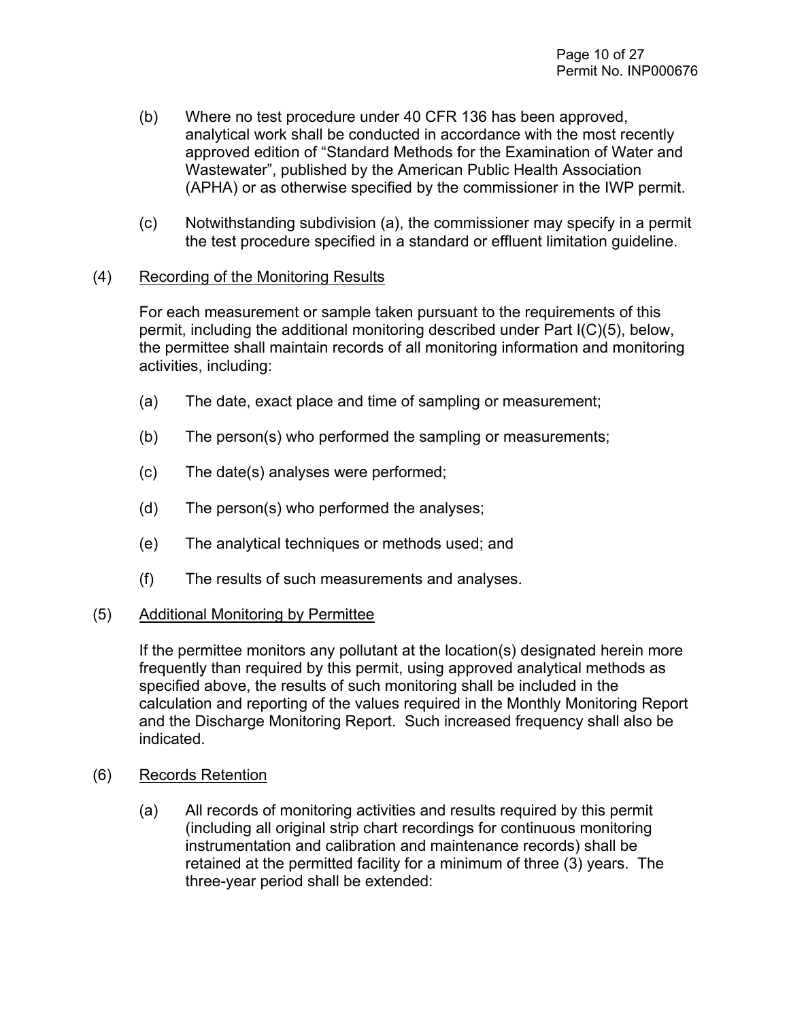- (b) Where no test procedure under 40 CFR 136 has been approved, analytical work shall be conducted in accordance with the most recently approved edition of "Standard Methods for the Examination of Water and Wastewater", published by the American Public Health Association (APHA) or as otherwise specified by the commissioner in the IWP permit.
- (c) Notwithstanding subdivision (a), the commissioner may specify in a permit the test procedure specified in a standard or effluent limitation guideline.

#### (4) Recording of the Monitoring Results

For each measurement or sample taken pursuant to the requirements of this permit, including the additional monitoring described under Part I(C)(5), below, the permittee shall maintain records of all monitoring information and monitoring activities, including:

- (a) The date, exact place and time of sampling or measurement;
- (b) The person(s) who performed the sampling or measurements;
- (c) The date(s) analyses were performed;
- (d) The person(s) who performed the analyses;
- (e) The analytical techniques or methods used; and
- (f) The results of such measurements and analyses.

#### (5) Additional Monitoring by Permittee

If the permittee monitors any pollutant at the location(s) designated herein more frequently than required by this permit, using approved analytical methods as specified above, the results of such monitoring shall be included in the calculation and reporting of the values required in the Monthly Monitoring Report and the Discharge Monitoring Report. Such increased frequency shall also be indicated.

- (6) Records Retention
	- (a) All records of monitoring activities and results required by this permit (including all original strip chart recordings for continuous monitoring instrumentation and calibration and maintenance records) shall be retained at the permitted facility for a minimum of three (3) years. The three-year period shall be extended: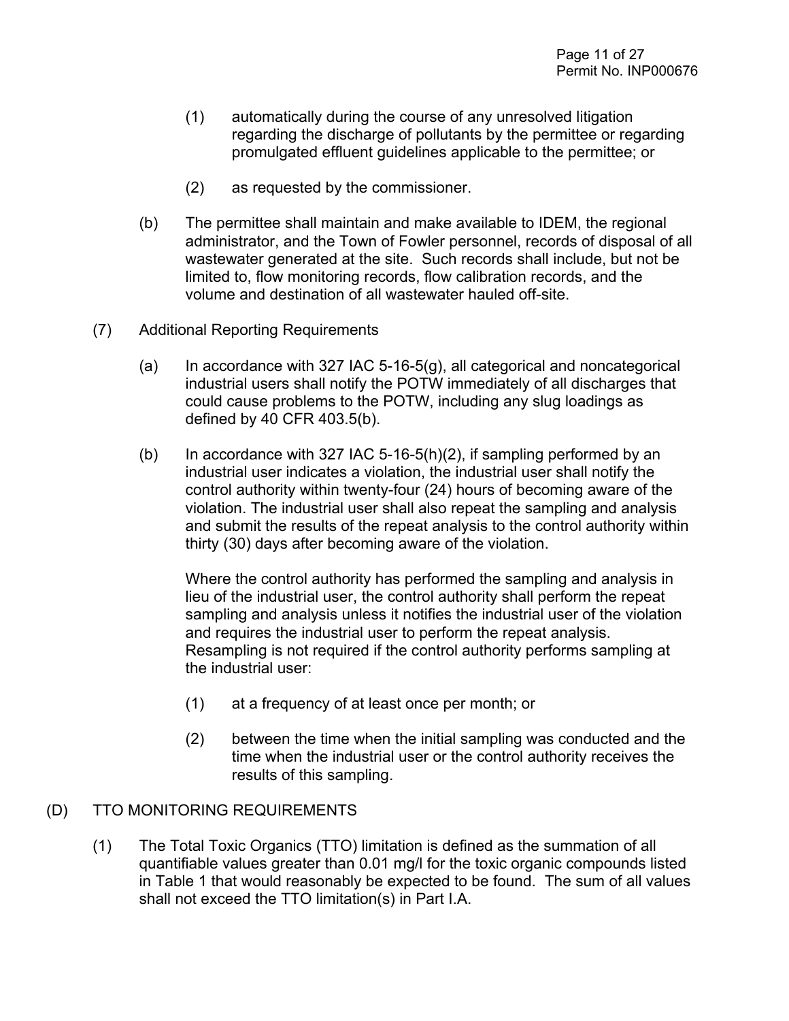- (1) automatically during the course of any unresolved litigation regarding the discharge of pollutants by the permittee or regarding promulgated effluent guidelines applicable to the permittee; or
- (2) as requested by the commissioner.
- (b) The permittee shall maintain and make available to IDEM, the regional administrator, and the Town of Fowler personnel, records of disposal of all wastewater generated at the site. Such records shall include, but not be limited to, flow monitoring records, flow calibration records, and the volume and destination of all wastewater hauled off-site.
- (7) Additional Reporting Requirements
	- $(a)$  In accordance with 327 IAC 5-16-5 $(g)$ , all categorical and noncategorical industrial users shall notify the POTW immediately of all discharges that could cause problems to the POTW, including any slug loadings as defined by 40 CFR 403.5(b).
	- (b) In accordance with 327 IAC 5-16-5(h)(2), if sampling performed by an industrial user indicates a violation, the industrial user shall notify the control authority within twenty-four (24) hours of becoming aware of the violation. The industrial user shall also repeat the sampling and analysis and submit the results of the repeat analysis to the control authority within thirty (30) days after becoming aware of the violation.

Where the control authority has performed the sampling and analysis in lieu of the industrial user, the control authority shall perform the repeat sampling and analysis unless it notifies the industrial user of the violation and requires the industrial user to perform the repeat analysis. Resampling is not required if the control authority performs sampling at the industrial user:

- (1) at a frequency of at least once per month; or
- (2) between the time when the initial sampling was conducted and the time when the industrial user or the control authority receives the results of this sampling.

#### (D) TTO MONITORING REQUIREMENTS

(1) The Total Toxic Organics (TTO) limitation is defined as the summation of all quantifiable values greater than 0.01 mg/l for the toxic organic compounds listed in Table 1 that would reasonably be expected to be found. The sum of all values shall not exceed the TTO limitation(s) in Part I.A.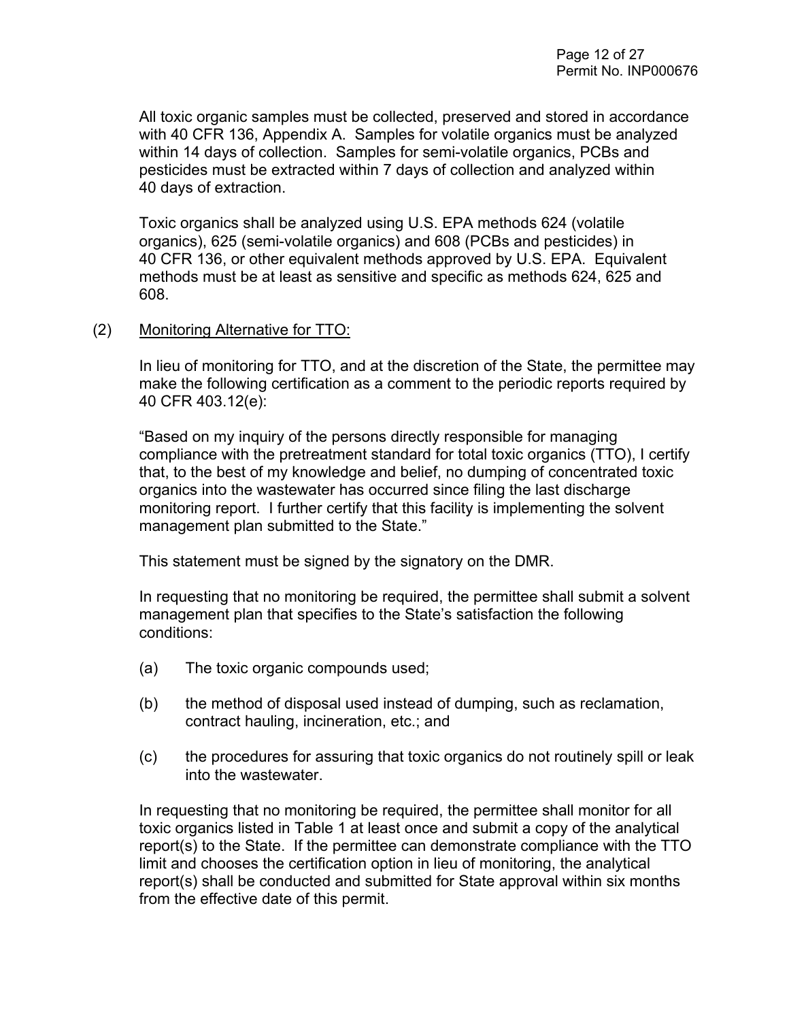All toxic organic samples must be collected, preserved and stored in accordance with 40 CFR 136, Appendix A. Samples for volatile organics must be analyzed within 14 days of collection. Samples for semi-volatile organics, PCBs and pesticides must be extracted within 7 days of collection and analyzed within 40 days of extraction.

Toxic organics shall be analyzed using U.S. EPA methods 624 (volatile organics), 625 (semi-volatile organics) and 608 (PCBs and pesticides) in 40 CFR 136, or other equivalent methods approved by U.S. EPA. Equivalent methods must be at least as sensitive and specific as methods 624, 625 and 608.

#### (2) Monitoring Alternative for TTO:

In lieu of monitoring for TTO, and at the discretion of the State, the permittee may make the following certification as a comment to the periodic reports required by 40 CFR 403.12(e):

"Based on my inquiry of the persons directly responsible for managing compliance with the pretreatment standard for total toxic organics (TTO), I certify that, to the best of my knowledge and belief, no dumping of concentrated toxic organics into the wastewater has occurred since filing the last discharge monitoring report. I further certify that this facility is implementing the solvent management plan submitted to the State."

This statement must be signed by the signatory on the DMR.

In requesting that no monitoring be required, the permittee shall submit a solvent management plan that specifies to the State's satisfaction the following conditions:

- (a) The toxic organic compounds used;
- (b) the method of disposal used instead of dumping, such as reclamation, contract hauling, incineration, etc.; and
- (c) the procedures for assuring that toxic organics do not routinely spill or leak into the wastewater.

In requesting that no monitoring be required, the permittee shall monitor for all toxic organics listed in Table 1 at least once and submit a copy of the analytical report(s) to the State. If the permittee can demonstrate compliance with the TTO limit and chooses the certification option in lieu of monitoring, the analytical report(s) shall be conducted and submitted for State approval within six months from the effective date of this permit.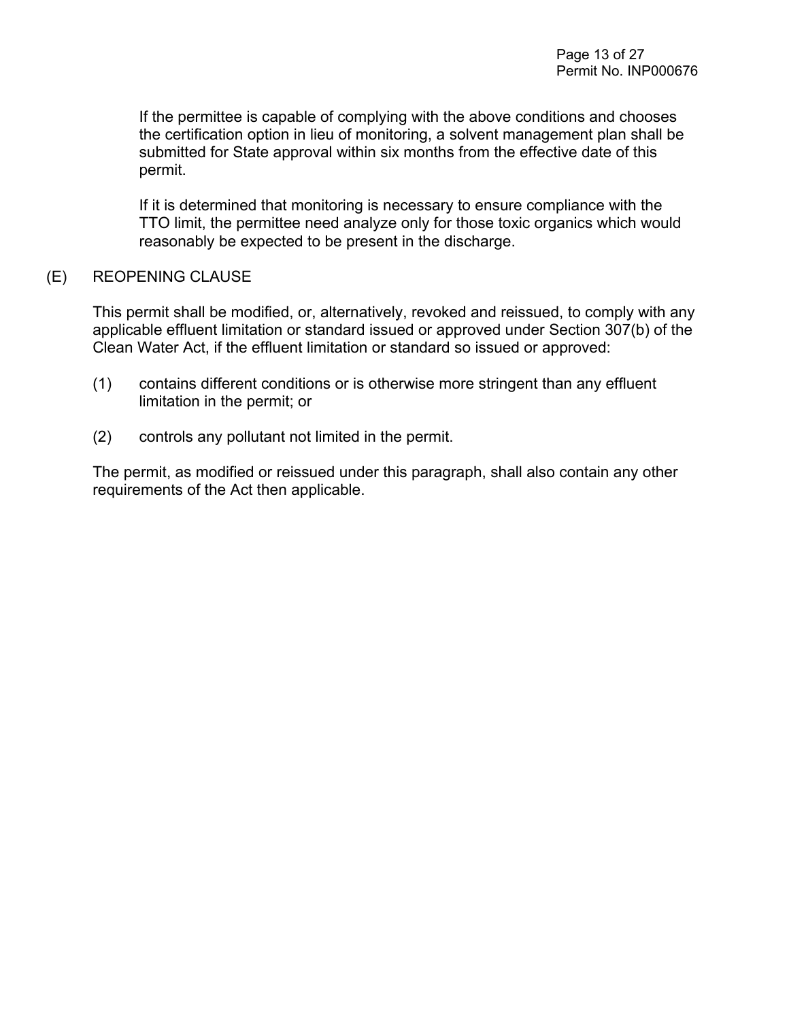If the permittee is capable of complying with the above conditions and chooses the certification option in lieu of monitoring, a solvent management plan shall be submitted for State approval within six months from the effective date of this permit.

If it is determined that monitoring is necessary to ensure compliance with the TTO limit, the permittee need analyze only for those toxic organics which would reasonably be expected to be present in the discharge.

#### (E) REOPENING CLAUSE

This permit shall be modified, or, alternatively, revoked and reissued, to comply with any applicable effluent limitation or standard issued or approved under Section 307(b) of the Clean Water Act, if the effluent limitation or standard so issued or approved:

- (1) contains different conditions or is otherwise more stringent than any effluent limitation in the permit; or
- (2) controls any pollutant not limited in the permit.

The permit, as modified or reissued under this paragraph, shall also contain any other requirements of the Act then applicable.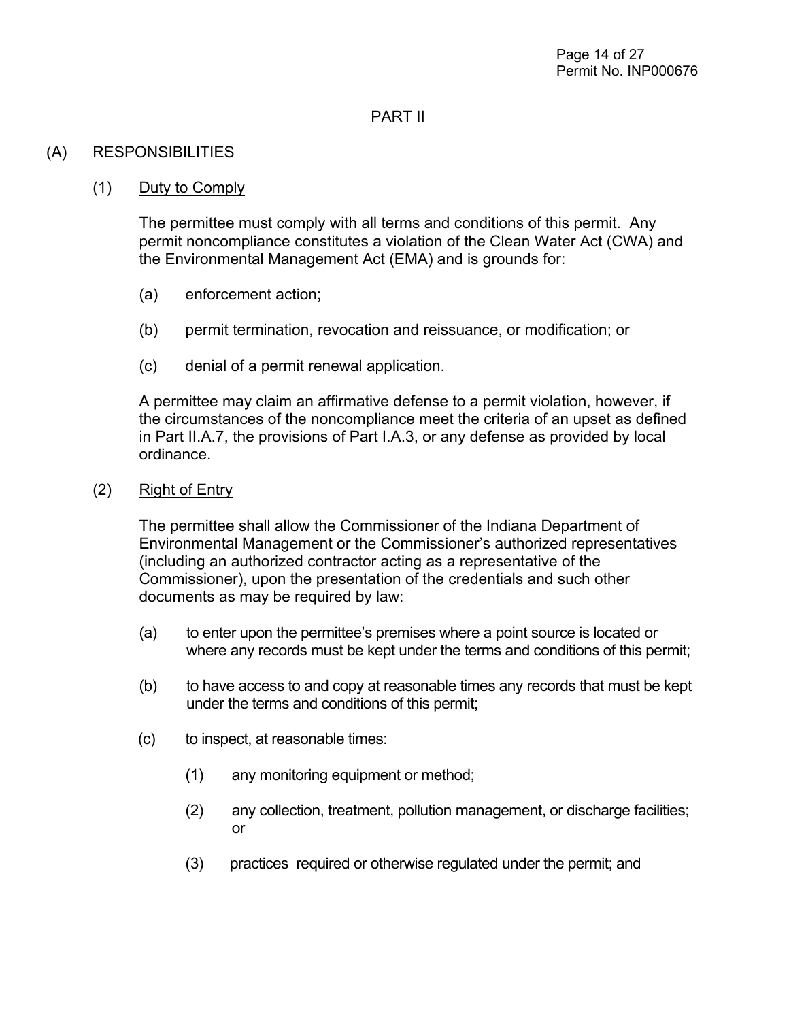#### PART II

### (A) RESPONSIBILITIES

#### (1) Duty to Comply

The permittee must comply with all terms and conditions of this permit. Any permit noncompliance constitutes a violation of the Clean Water Act (CWA) and the Environmental Management Act (EMA) and is grounds for:

- (a) enforcement action;
- (b) permit termination, revocation and reissuance, or modification; or
- (c) denial of a permit renewal application.

A permittee may claim an affirmative defense to a permit violation, however, if the circumstances of the noncompliance meet the criteria of an upset as defined in Part II.A.7, the provisions of Part I.A.3, or any defense as provided by local ordinance.

(2) Right of Entry

The permittee shall allow the Commissioner of the Indiana Department of Environmental Management or the Commissioner's authorized representatives (including an authorized contractor acting as a representative of the Commissioner), upon the presentation of the credentials and such other documents as may be required by law:

- (a) to enter upon the permittee's premises where a point source is located or where any records must be kept under the terms and conditions of this permit;
- (b) to have access to and copy at reasonable times any records that must be kept under the terms and conditions of this permit;
- (c) to inspect, at reasonable times:
	- (1) any monitoring equipment or method;
	- (2) any collection, treatment, pollution management, or discharge facilities; or
	- (3) practices required or otherwise regulated under the permit; and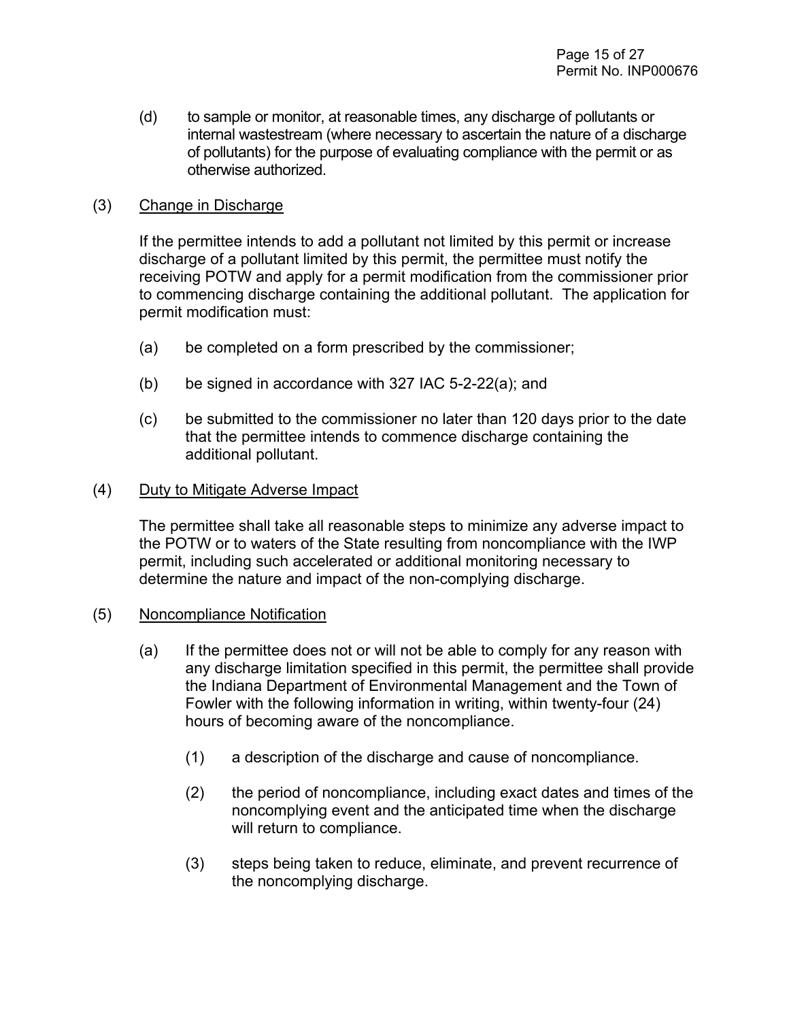(d) to sample or monitor, at reasonable times, any discharge of pollutants or internal wastestream (where necessary to ascertain the nature of a discharge of pollutants) for the purpose of evaluating compliance with the permit or as otherwise authorized.

#### (3) Change in Discharge

If the permittee intends to add a pollutant not limited by this permit or increase discharge of a pollutant limited by this permit, the permittee must notify the receiving POTW and apply for a permit modification from the commissioner prior to commencing discharge containing the additional pollutant. The application for permit modification must:

- (a) be completed on a form prescribed by the commissioner;
- (b) be signed in accordance with 327 IAC 5-2-22(a); and
- (c) be submitted to the commissioner no later than 120 days prior to the date that the permittee intends to commence discharge containing the additional pollutant.

#### (4) Duty to Mitigate Adverse Impact

The permittee shall take all reasonable steps to minimize any adverse impact to the POTW or to waters of the State resulting from noncompliance with the IWP permit, including such accelerated or additional monitoring necessary to determine the nature and impact of the non-complying discharge.

#### (5) Noncompliance Notification

- (a) If the permittee does not or will not be able to comply for any reason with any discharge limitation specified in this permit, the permittee shall provide the Indiana Department of Environmental Management and the Town of Fowler with the following information in writing, within twenty-four (24) hours of becoming aware of the noncompliance.
	- (1) a description of the discharge and cause of noncompliance.
	- (2) the period of noncompliance, including exact dates and times of the noncomplying event and the anticipated time when the discharge will return to compliance.
	- (3) steps being taken to reduce, eliminate, and prevent recurrence of the noncomplying discharge.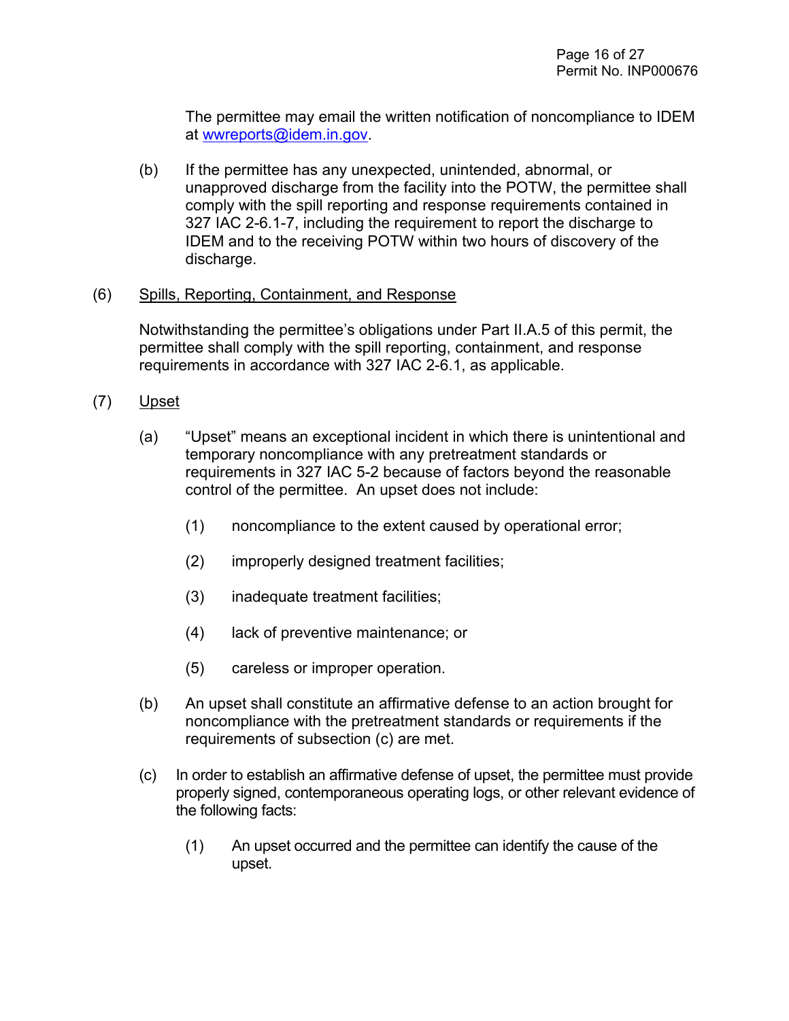The permittee may email the written notification of noncompliance to IDEM at [wwreports@idem.in.gov.](mailto:wwreports@idem.in.gov)

(b) If the permittee has any unexpected, unintended, abnormal, or unapproved discharge from the facility into the POTW, the permittee shall comply with the spill reporting and response requirements contained in 327 IAC 2-6.1-7, including the requirement to report the discharge to IDEM and to the receiving POTW within two hours of discovery of the discharge.

#### (6) Spills, Reporting, Containment, and Response

Notwithstanding the permittee's obligations under Part II.A.5 of this permit, the permittee shall comply with the spill reporting, containment, and response requirements in accordance with 327 IAC 2-6.1, as applicable.

- (7) Upset
	- (a) "Upset" means an exceptional incident in which there is unintentional and temporary noncompliance with any pretreatment standards or requirements in 327 IAC 5-2 because of factors beyond the reasonable control of the permittee. An upset does not include:
		- (1) noncompliance to the extent caused by operational error;
		- (2) improperly designed treatment facilities;
		- (3) inadequate treatment facilities;
		- (4) lack of preventive maintenance; or
		- (5) careless or improper operation.
	- (b) An upset shall constitute an affirmative defense to an action brought for noncompliance with the pretreatment standards or requirements if the requirements of subsection (c) are met.
	- (c) In order to establish an affirmative defense of upset, the permittee must provide properly signed, contemporaneous operating logs, or other relevant evidence of the following facts:
		- (1) An upset occurred and the permittee can identify the cause of the upset.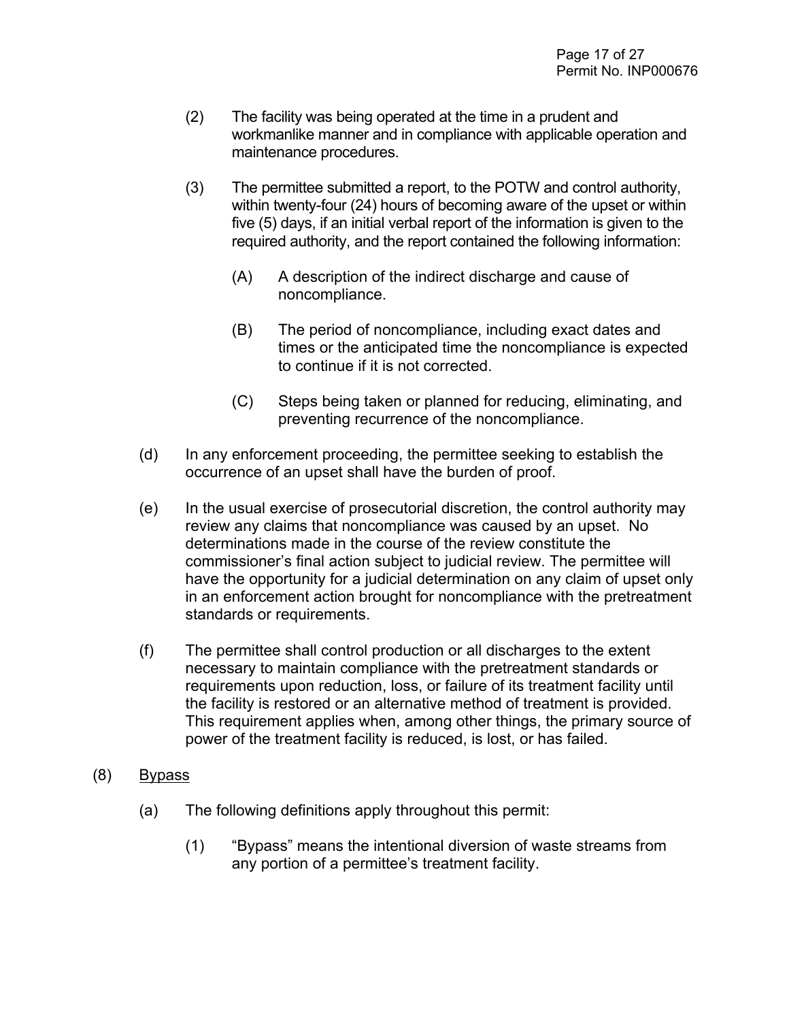- (2) The facility was being operated at the time in a prudent and workmanlike manner and in compliance with applicable operation and maintenance procedures.
- (3) The permittee submitted a report, to the POTW and control authority, within twenty-four (24) hours of becoming aware of the upset or within five (5) days, if an initial verbal report of the information is given to the required authority, and the report contained the following information:
	- (A) A description of the indirect discharge and cause of noncompliance.
	- (B) The period of noncompliance, including exact dates and times or the anticipated time the noncompliance is expected to continue if it is not corrected.
	- (C) Steps being taken or planned for reducing, eliminating, and preventing recurrence of the noncompliance.
- (d) In any enforcement proceeding, the permittee seeking to establish the occurrence of an upset shall have the burden of proof.
- (e) In the usual exercise of prosecutorial discretion, the control authority may review any claims that noncompliance was caused by an upset. No determinations made in the course of the review constitute the commissioner's final action subject to judicial review. The permittee will have the opportunity for a judicial determination on any claim of upset only in an enforcement action brought for noncompliance with the pretreatment standards or requirements.
- (f) The permittee shall control production or all discharges to the extent necessary to maintain compliance with the pretreatment standards or requirements upon reduction, loss, or failure of its treatment facility until the facility is restored or an alternative method of treatment is provided. This requirement applies when, among other things, the primary source of power of the treatment facility is reduced, is lost, or has failed.
- (8) Bypass
	- (a) The following definitions apply throughout this permit:
		- (1) "Bypass" means the intentional diversion of waste streams from any portion of a permittee's treatment facility.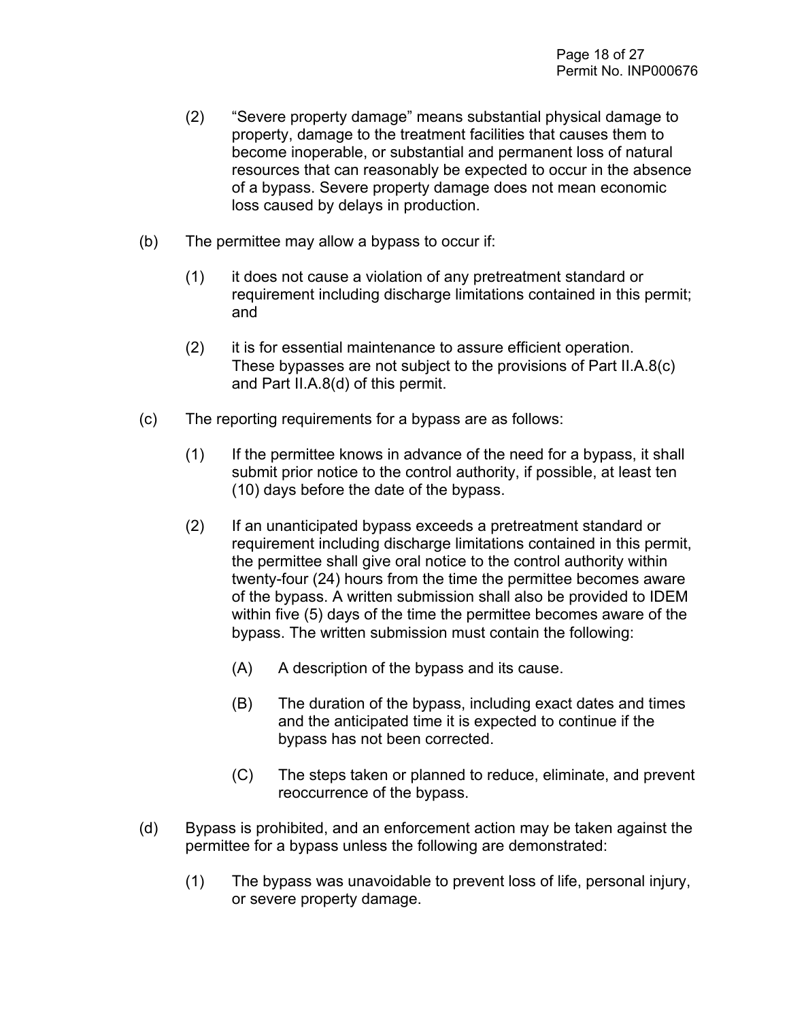- (2) "Severe property damage" means substantial physical damage to property, damage to the treatment facilities that causes them to become inoperable, or substantial and permanent loss of natural resources that can reasonably be expected to occur in the absence of a bypass. Severe property damage does not mean economic loss caused by delays in production.
- (b) The permittee may allow a bypass to occur if:
	- (1) it does not cause a violation of any pretreatment standard or requirement including discharge limitations contained in this permit; and
	- (2) it is for essential maintenance to assure efficient operation. These bypasses are not subject to the provisions of Part II.A.8(c) and Part II.A.8(d) of this permit.
- (c) The reporting requirements for a bypass are as follows:
	- (1) If the permittee knows in advance of the need for a bypass, it shall submit prior notice to the control authority, if possible, at least ten (10) days before the date of the bypass.
	- (2) If an unanticipated bypass exceeds a pretreatment standard or requirement including discharge limitations contained in this permit, the permittee shall give oral notice to the control authority within twenty-four (24) hours from the time the permittee becomes aware of the bypass. A written submission shall also be provided to IDEM within five (5) days of the time the permittee becomes aware of the bypass. The written submission must contain the following:
		- (A) A description of the bypass and its cause.
		- (B) The duration of the bypass, including exact dates and times and the anticipated time it is expected to continue if the bypass has not been corrected.
		- (C) The steps taken or planned to reduce, eliminate, and prevent reoccurrence of the bypass.
- (d) Bypass is prohibited, and an enforcement action may be taken against the permittee for a bypass unless the following are demonstrated:
	- (1) The bypass was unavoidable to prevent loss of life, personal injury, or severe property damage.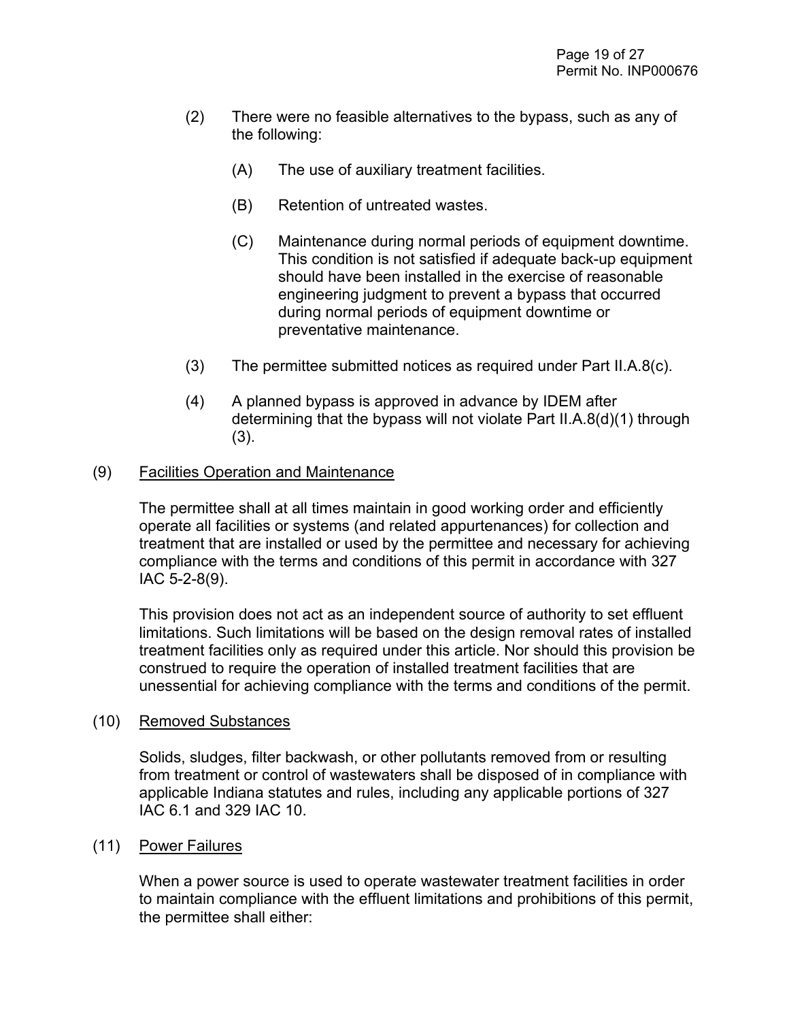- (2) There were no feasible alternatives to the bypass, such as any of the following:
	- (A) The use of auxiliary treatment facilities.
	- (B) Retention of untreated wastes.
	- (C) Maintenance during normal periods of equipment downtime. This condition is not satisfied if adequate back-up equipment should have been installed in the exercise of reasonable engineering judgment to prevent a bypass that occurred during normal periods of equipment downtime or preventative maintenance.
- (3) The permittee submitted notices as required under Part II.A.8(c).
- (4) A planned bypass is approved in advance by IDEM after determining that the bypass will not violate Part II.A.8(d)(1) through (3).

#### (9) Facilities Operation and Maintenance

The permittee shall at all times maintain in good working order and efficiently operate all facilities or systems (and related appurtenances) for collection and treatment that are installed or used by the permittee and necessary for achieving compliance with the terms and conditions of this permit in accordance with 327 IAC 5-2-8(9).

This provision does not act as an independent source of authority to set effluent limitations. Such limitations will be based on the design removal rates of installed treatment facilities only as required under this article. Nor should this provision be construed to require the operation of installed treatment facilities that are unessential for achieving compliance with the terms and conditions of the permit.

#### (10) Removed Substances

Solids, sludges, filter backwash, or other pollutants removed from or resulting from treatment or control of wastewaters shall be disposed of in compliance with applicable Indiana statutes and rules, including any applicable portions of 327 IAC 6.1 and 329 IAC 10.

#### (11) Power Failures

When a power source is used to operate wastewater treatment facilities in order to maintain compliance with the effluent limitations and prohibitions of this permit, the permittee shall either: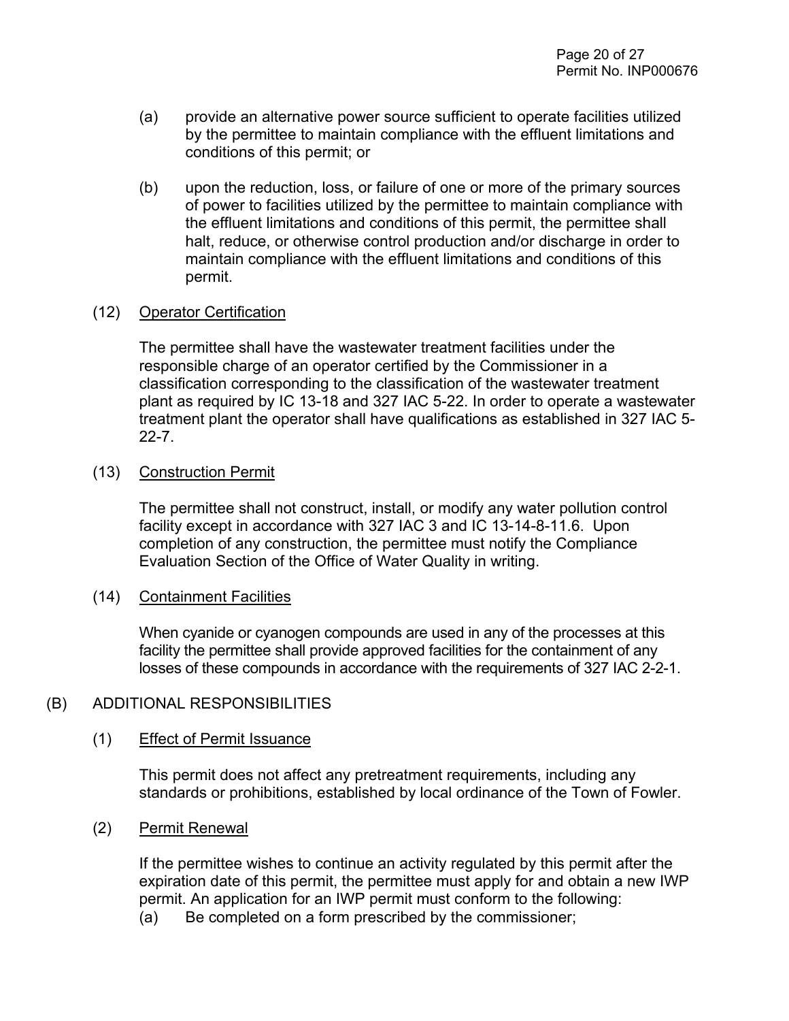- (a) provide an alternative power source sufficient to operate facilities utilized by the permittee to maintain compliance with the effluent limitations and conditions of this permit; or
- (b) upon the reduction, loss, or failure of one or more of the primary sources of power to facilities utilized by the permittee to maintain compliance with the effluent limitations and conditions of this permit, the permittee shall halt, reduce, or otherwise control production and/or discharge in order to maintain compliance with the effluent limitations and conditions of this permit.

#### (12) Operator Certification

The permittee shall have the wastewater treatment facilities under the responsible charge of an operator certified by the Commissioner in a classification corresponding to the classification of the wastewater treatment plant as required by IC 13-18 and 327 IAC 5-22. In order to operate a wastewater treatment plant the operator shall have qualifications as established in 327 IAC 5- 22-7.

#### (13) Construction Permit

The permittee shall not construct, install, or modify any water pollution control facility except in accordance with 327 IAC 3 and IC 13-14-8-11.6. Upon completion of any construction, the permittee must notify the Compliance Evaluation Section of the Office of Water Quality in writing.

#### (14) Containment Facilities

When cyanide or cyanogen compounds are used in any of the processes at this facility the permittee shall provide approved facilities for the containment of any losses of these compounds in accordance with the requirements of 327 IAC 2-2-1.

#### (B) ADDITIONAL RESPONSIBILITIES

#### (1) Effect of Permit Issuance

This permit does not affect any pretreatment requirements, including any standards or prohibitions, established by local ordinance of the Town of Fowler.

(2) Permit Renewal

If the permittee wishes to continue an activity regulated by this permit after the expiration date of this permit, the permittee must apply for and obtain a new IWP permit. An application for an IWP permit must conform to the following:

(a) Be completed on a form prescribed by the commissioner;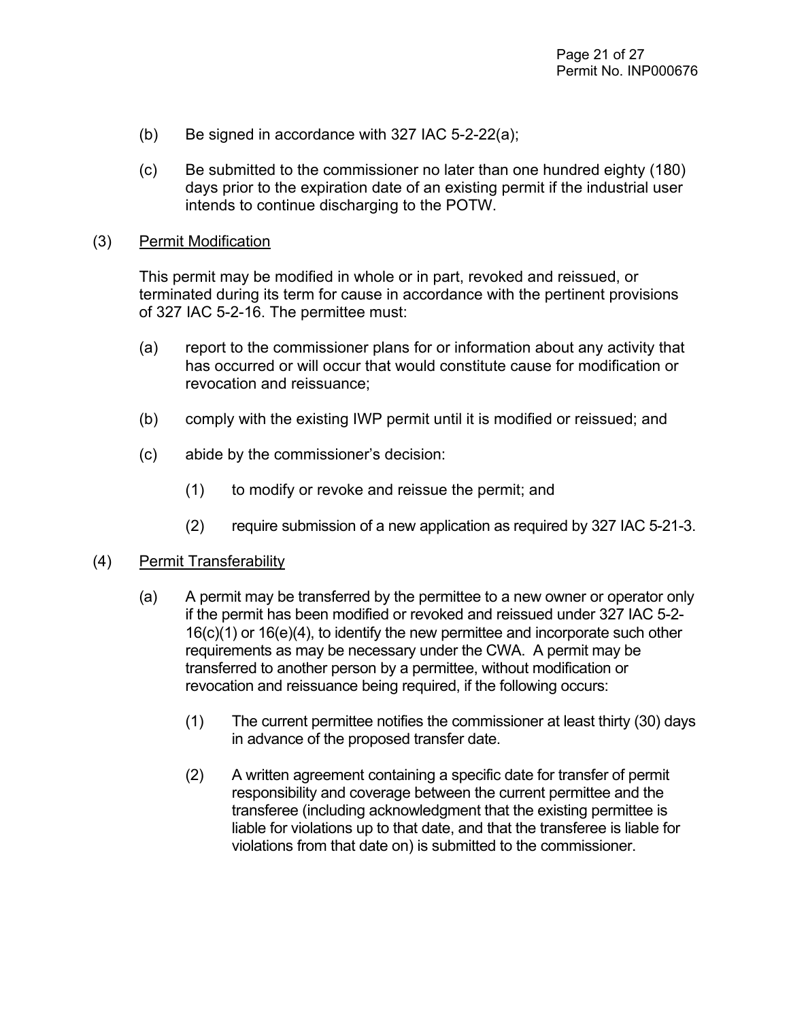- (b) Be signed in accordance with 327 IAC 5-2-22(a);
- (c) Be submitted to the commissioner no later than one hundred eighty (180) days prior to the expiration date of an existing permit if the industrial user intends to continue discharging to the POTW.

#### (3) Permit Modification

This permit may be modified in whole or in part, revoked and reissued, or terminated during its term for cause in accordance with the pertinent provisions of 327 IAC 5-2-16. The permittee must:

- (a) report to the commissioner plans for or information about any activity that has occurred or will occur that would constitute cause for modification or revocation and reissuance;
- (b) comply with the existing IWP permit until it is modified or reissued; and
- (c) abide by the commissioner's decision:
	- (1) to modify or revoke and reissue the permit; and
	- (2) require submission of a new application as required by 327 IAC 5-21-3.

#### (4) Permit Transferability

- (a) A permit may be transferred by the permittee to a new owner or operator only if the permit has been modified or revoked and reissued under 327 IAC 5-2- 16(c)(1) or 16(e)(4), to identify the new permittee and incorporate such other requirements as may be necessary under the CWA. A permit may be transferred to another person by a permittee, without modification or revocation and reissuance being required, if the following occurs:
	- (1) The current permittee notifies the commissioner at least thirty (30) days in advance of the proposed transfer date.
	- (2) A written agreement containing a specific date for transfer of permit responsibility and coverage between the current permittee and the transferee (including acknowledgment that the existing permittee is liable for violations up to that date, and that the transferee is liable for violations from that date on) is submitted to the commissioner.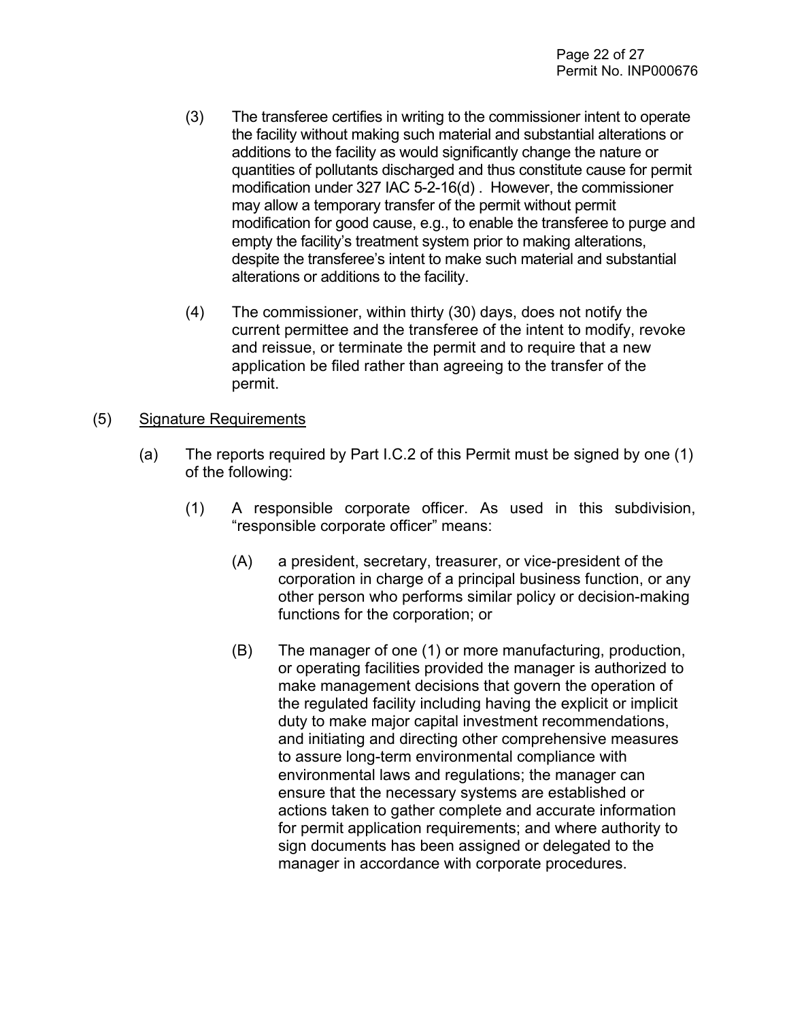- (3) The transferee certifies in writing to the commissioner intent to operate the facility without making such material and substantial alterations or additions to the facility as would significantly change the nature or quantities of pollutants discharged and thus constitute cause for permit modification under 327 IAC 5-2-16(d) . However, the commissioner may allow a temporary transfer of the permit without permit modification for good cause, e.g., to enable the transferee to purge and empty the facility's treatment system prior to making alterations, despite the transferee's intent to make such material and substantial alterations or additions to the facility.
- (4) The commissioner, within thirty (30) days, does not notify the current permittee and the transferee of the intent to modify, revoke and reissue, or terminate the permit and to require that a new application be filed rather than agreeing to the transfer of the permit.
- (5) Signature Requirements
	- (a) The reports required by Part I.C.2 of this Permit must be signed by one (1) of the following:
		- (1) A responsible corporate officer. As used in this subdivision, "responsible corporate officer" means:
			- (A) a president, secretary, treasurer, or vice-president of the corporation in charge of a principal business function, or any other person who performs similar policy or decision-making functions for the corporation; or
			- (B) The manager of one (1) or more manufacturing, production, or operating facilities provided the manager is authorized to make management decisions that govern the operation of the regulated facility including having the explicit or implicit duty to make major capital investment recommendations, and initiating and directing other comprehensive measures to assure long-term environmental compliance with environmental laws and regulations; the manager can ensure that the necessary systems are established or actions taken to gather complete and accurate information for permit application requirements; and where authority to sign documents has been assigned or delegated to the manager in accordance with corporate procedures.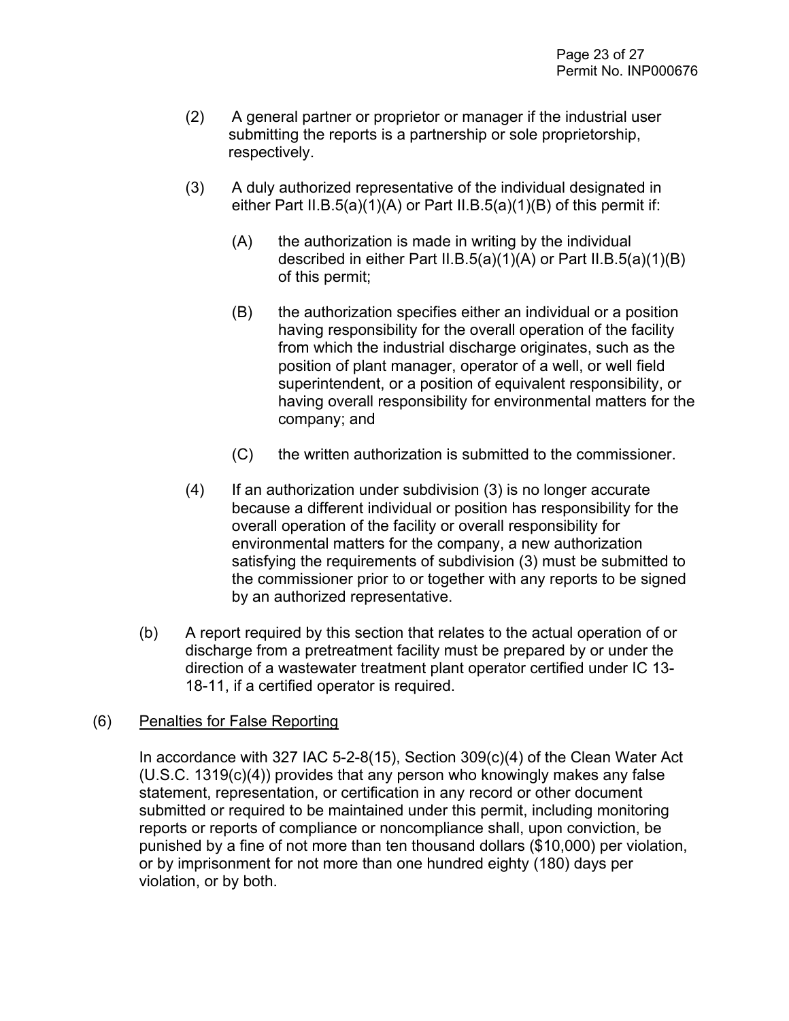- (2) A general partner or proprietor or manager if the industrial user submitting the reports is a partnership or sole proprietorship, respectively.
- (3) A duly authorized representative of the individual designated in either Part II.B.5(a)(1)(A) or Part II.B.5(a)(1)(B) of this permit if:
	- (A) the authorization is made in writing by the individual described in either Part II.B.5(a)(1)(A) or Part II.B.5(a)(1)(B) of this permit;
	- (B) the authorization specifies either an individual or a position having responsibility for the overall operation of the facility from which the industrial discharge originates, such as the position of plant manager, operator of a well, or well field superintendent, or a position of equivalent responsibility, or having overall responsibility for environmental matters for the company; and
	- (C) the written authorization is submitted to the commissioner.
- $(4)$  If an authorization under subdivision  $(3)$  is no longer accurate because a different individual or position has responsibility for the overall operation of the facility or overall responsibility for environmental matters for the company, a new authorization satisfying the requirements of subdivision (3) must be submitted to the commissioner prior to or together with any reports to be signed by an authorized representative.
- (b) A report required by this section that relates to the actual operation of or discharge from a pretreatment facility must be prepared by or under the direction of a wastewater treatment plant operator certified under IC 13- 18-11, if a certified operator is required.

#### (6) Penalties for False Reporting

In accordance with 327 IAC 5-2-8(15), Section 309(c)(4) of the Clean Water Act (U.S.C. 1319(c)(4)) provides that any person who knowingly makes any false statement, representation, or certification in any record or other document submitted or required to be maintained under this permit, including monitoring reports or reports of compliance or noncompliance shall, upon conviction, be punished by a fine of not more than ten thousand dollars (\$10,000) per violation, or by imprisonment for not more than one hundred eighty (180) days per violation, or by both.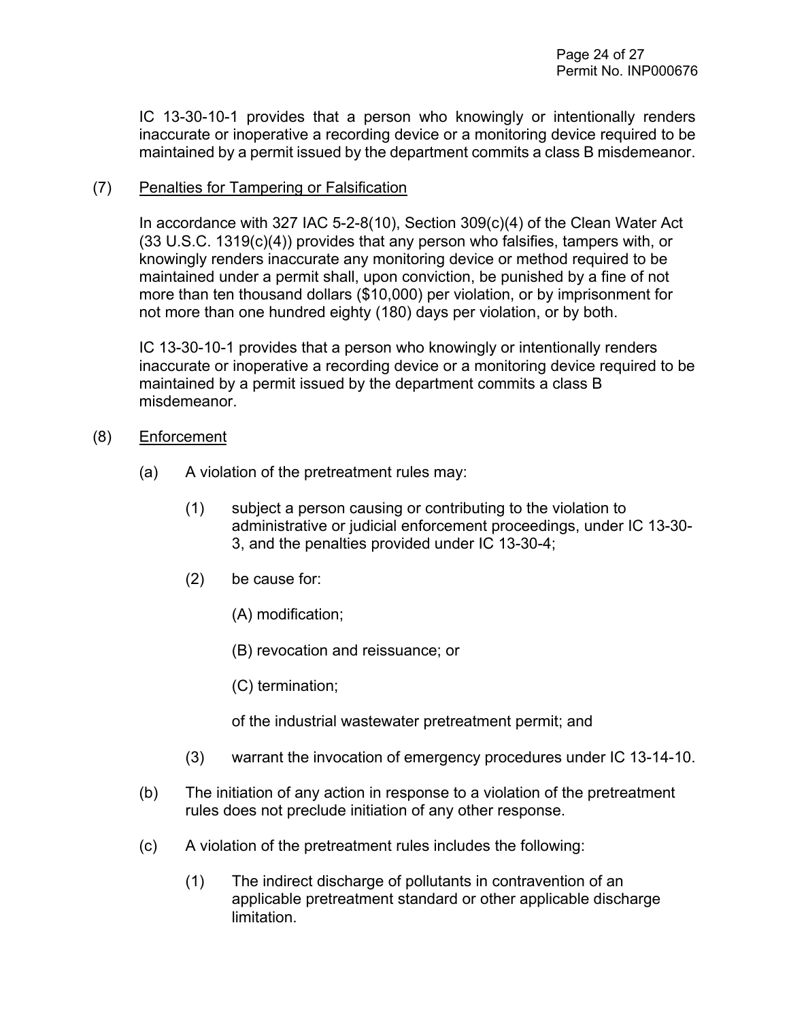IC 13-30-10-1 provides that a person who knowingly or intentionally renders inaccurate or inoperative a recording device or a monitoring device required to be maintained by a permit issued by the department commits a class B misdemeanor.

#### (7) Penalties for Tampering or Falsification

In accordance with 327 IAC 5-2-8(10), Section 309(c)(4) of the Clean Water Act (33 U.S.C. 1319(c)(4)) provides that any person who falsifies, tampers with, or knowingly renders inaccurate any monitoring device or method required to be maintained under a permit shall, upon conviction, be punished by a fine of not more than ten thousand dollars (\$10,000) per violation, or by imprisonment for not more than one hundred eighty (180) days per violation, or by both.

IC 13-30-10-1 provides that a person who knowingly or intentionally renders inaccurate or inoperative a recording device or a monitoring device required to be maintained by a permit issued by the department commits a class B misdemeanor.

- (8) Enforcement
	- (a) A violation of the pretreatment rules may:
		- (1) subject a person causing or contributing to the violation to administrative or judicial enforcement proceedings, under IC 13-30- 3, and the penalties provided under IC 13-30-4;
		- (2) be cause for:
			- (A) modification;
			- (B) revocation and reissuance; or
			- (C) termination;

of the industrial wastewater pretreatment permit; and

- (3) warrant the invocation of emergency procedures under IC 13-14-10.
- (b) The initiation of any action in response to a violation of the pretreatment rules does not preclude initiation of any other response.
- (c) A violation of the pretreatment rules includes the following:
	- (1) The indirect discharge of pollutants in contravention of an applicable pretreatment standard or other applicable discharge limitation.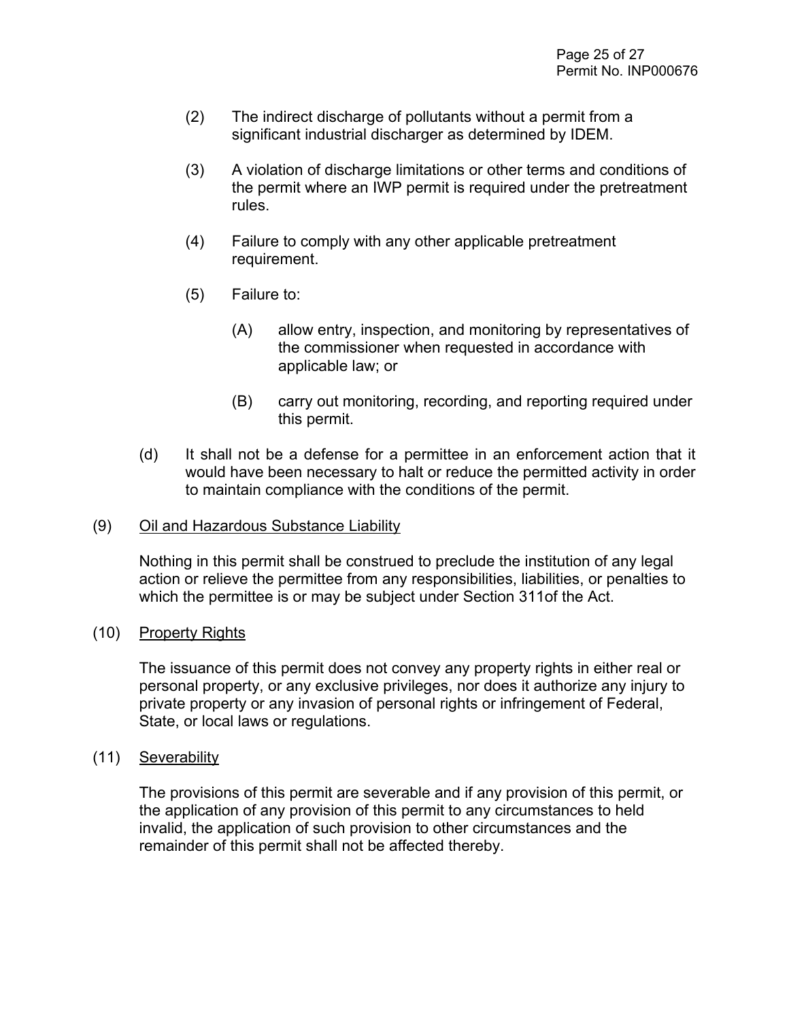- (2) The indirect discharge of pollutants without a permit from a significant industrial discharger as determined by IDEM.
- (3) A violation of discharge limitations or other terms and conditions of the permit where an IWP permit is required under the pretreatment rules.
- (4) Failure to comply with any other applicable pretreatment requirement.
- (5) Failure to:
	- (A) allow entry, inspection, and monitoring by representatives of the commissioner when requested in accordance with applicable law; or
	- (B) carry out monitoring, recording, and reporting required under this permit.
- (d) It shall not be a defense for a permittee in an enforcement action that it would have been necessary to halt or reduce the permitted activity in order to maintain compliance with the conditions of the permit.

#### (9) Oil and Hazardous Substance Liability

Nothing in this permit shall be construed to preclude the institution of any legal action or relieve the permittee from any responsibilities, liabilities, or penalties to which the permittee is or may be subject under Section 311of the Act.

#### (10) Property Rights

The issuance of this permit does not convey any property rights in either real or personal property, or any exclusive privileges, nor does it authorize any injury to private property or any invasion of personal rights or infringement of Federal, State, or local laws or regulations.

#### (11) Severability

The provisions of this permit are severable and if any provision of this permit, or the application of any provision of this permit to any circumstances to held invalid, the application of such provision to other circumstances and the remainder of this permit shall not be affected thereby.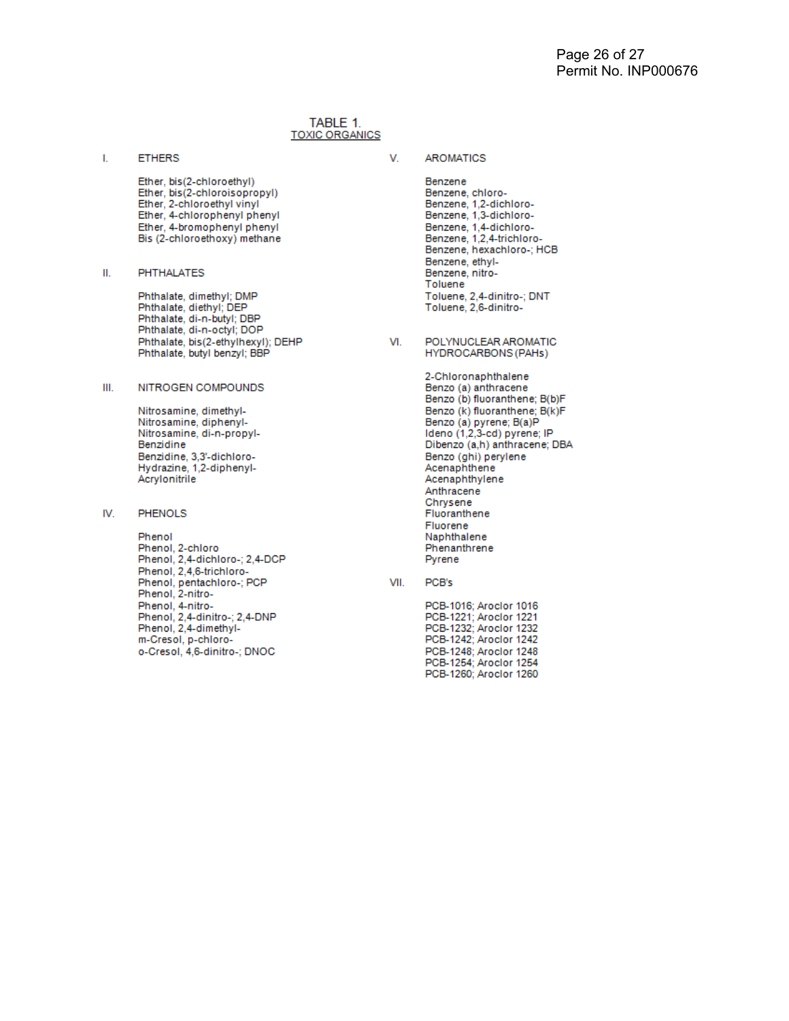#### TABLE 1. **TOXIC ORGANICS**

**ETHERS** I.

V.

- Ether, bis(2-chloroethyl) Ether, bis(2-chloroisopropyl) Ether, 2-chloroethyl vinyl Ether, 4-chlorophenyl phenyl Ether, 4-bromophenyl phenyl Bis (2-chloroethoxy) methane
- **PHTHALATES** Ш.

Phthalate, dimethyl; DMP Phthalate, diethyl; DEP Phthalate, di-n-butyl; DBP Phthalate, di-n-octyl; DOP Phthalate, bis(2-ethylhexyl); DEHP Phthalate, butyl benzyl; BBP

#### NITROGEN COMPOUNDS Ш.

Nitrosamine, dimethyl-Nitrosamine, diphenyl-Nitrosamine, di-n-propyl-Benzidine Benzidine, 3,3'-dichloro-Hydrazine, 1,2-diphenyl-Acrylonitrile

#### IV. **PHENOLS**

Phenol Phenol, 2-chloro Phenol, 2,4-dichloro-; 2,4-DCP Phenol, 2,4,6-trichloro-Phenol, pentachloro-; PCP Phenol, 2-nitro-Phenol, 4-nitro-<br>Phenol, 2,4-dinitro-; 2,4-DNP Phenol, 2,4-dimethylm-Cresol, p-chloroo-Cresol, 4,6-dinitro-; DNOC

**AROMATICS** 

Benzene Benzene, chloro-Benzene, 1,2-dichloro-Benzene, 1.3-dichloro-Benzene, 1,4-dichloro-Benzene, 1,2,4-trichloro-Benzene, hexachloro-; HCB Benzene, ethyl-Benzene, nitro-Toluene Toluene, 2,4-dinitro-; DNT Toluene, 2,6-dinitro-

POLYNUCLEAR AROMATIC VI. HYDROCARBONS (PAHs)

> 2-Chloronaphthalene Benzo (a) anthracene Benzo (b) fluoranthene; B(b)F Benzo (k) fluoranthene; B(k)F Benzo (a) pyrene; B(a)P<br>Ideno (1,2,3-cd) pyrene; IP Dibenzo (a,h) anthracene; DBA Benzo (ghi) perylene<br>Acenaphthene Acenaphthylene Anthracene Chrysene Fluoranthene Fluorene Naphthalene Phenanthrene Pyrene

VII. PCB's

> PCB-1016: Aroclor 1016 PCB-1221; Aroclor 1221 PCB-1232; Aroclor 1232 PCB-1242; Aroclor 1242 PCB-1248; Aroclor 1248 PCB-1254; Aroclor 1254 PCB-1260; Aroclor 1260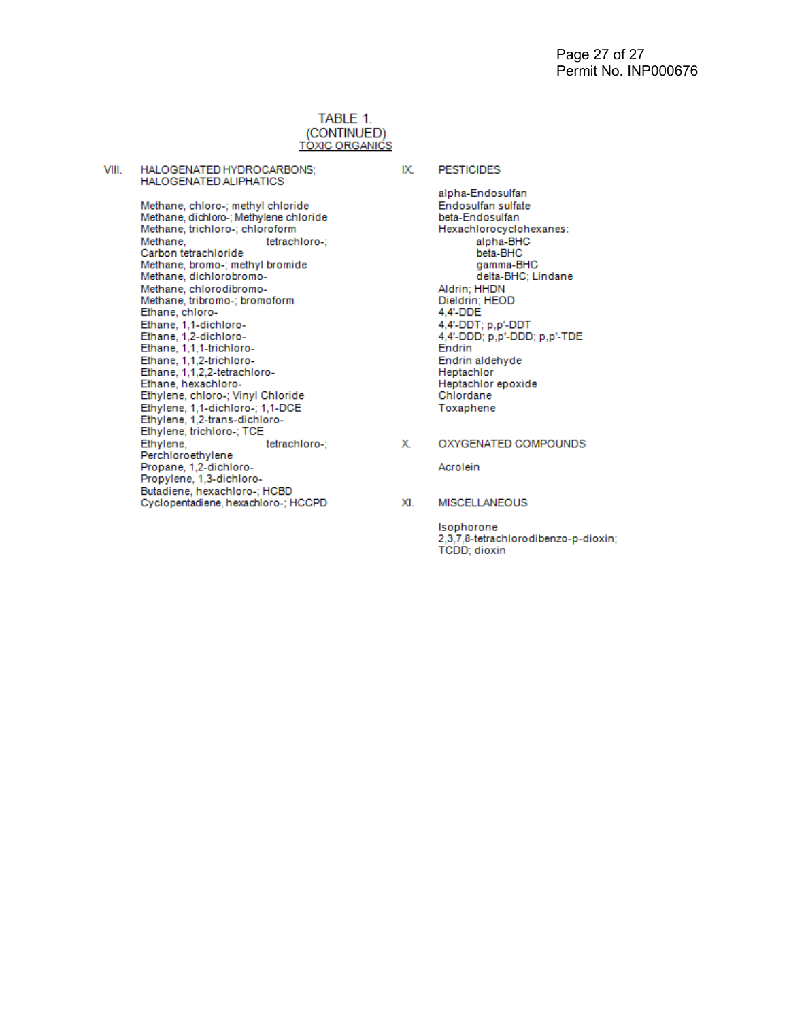#### TABLE 1. (CONTINUED) **TÒXIC ORGANICS**

VIII. HALOGENATED HYDROCARBONS; HALOGENATED ALIPHATICS

> Methane, chloro-; methyl chloride Methane, dichloro-; Methylene chloride Methane, trichloro-; chloroform Methane, tetrachloro-; Carbon tetrachloride Methane, bromo-; methyl bromide Methane, dichlorobromo-Methane, chlorodibromo-Methane, tribromo-; bromoform Ethane, chloro-Ethane, 1,1-dichloro-Ethane, 1,2-dichloro-Ethane, 1,1,1-trichloro-Ethane, 1,1,2-trichloro-<br>Ethane, 1,1,2,2-tetrachloro-Ethane, hexachloro-Ethylene, chloro-; Vinyl Chloride Ethylene, 1,1-dichloro-; 1,1-DCE<br>Ethylene, 1,2-trans-dichloro-Ethylene, trichloro-; TCE Ethylene, tetrachloro-; Perchloroethylene Propane, 1,2-dichloro-Propylene, 1,3-dichloro-Butadiene, hexachloro-; HCBD Cyclopentadiene, hexachloro-; HCCPD

#### IX. **PESTICIDES**

alpha-Endosulfan Endosulfan sulfate beta-Endosulfan Hexachlorocyclohexanes: alpha-BHC beta-BHC gamma-BHC delta-BHC; Lindane Aldrin; HHDN Dieldrin; HEOD 4,4'-DDE 4,4'-DDT; p,p'-DDT 4,4'-DDD; p,p'-DDD; p,p'-TDE Endrin Endrin aldehyde Heptachlor Heptachlor epoxide Chlordane Toxaphene

Х. OXYGENATED COMPOUNDS

Acrolein

XI. MISCELLANEOUS

> Isophorone 2,3,7,8-tetrachlorodibenzo-p-dioxin; **TCDD**; dioxin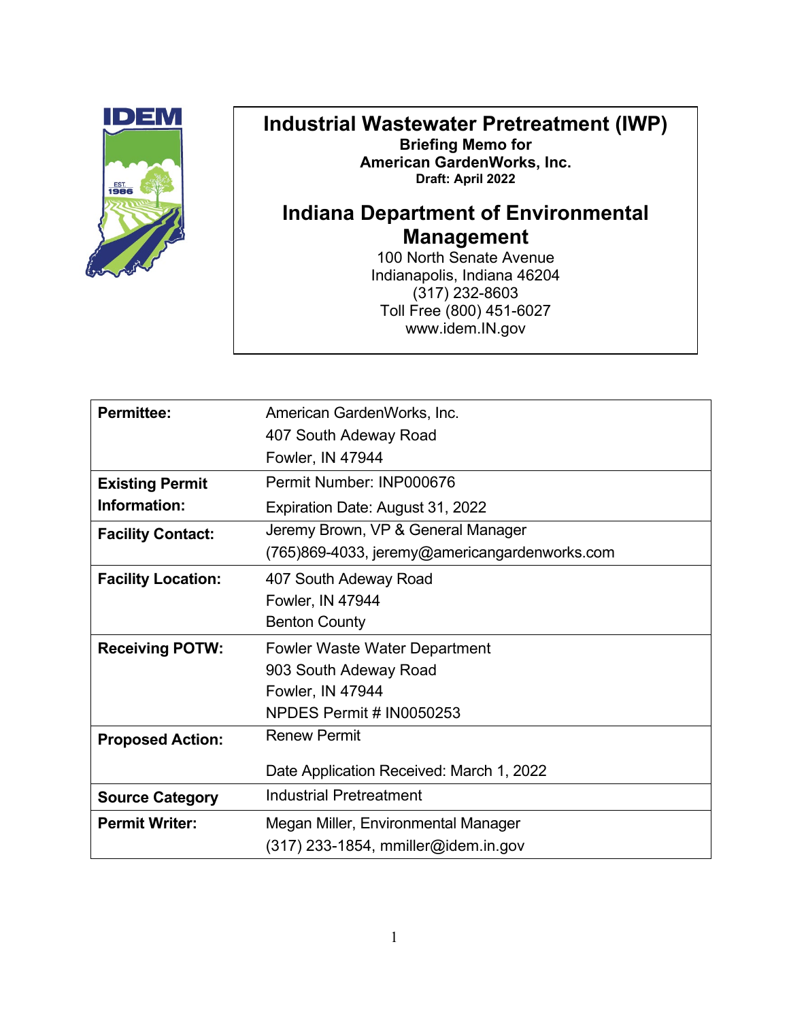

#### **Industrial Wastewater Pretreatment (IWP) Briefing Memo for American GardenWorks, Inc. Draft: April 2022**

# **Indiana Department of Environmental Management**

100 North Senate Avenue Indianapolis, Indiana 46204 (317) 232-8603 Toll Free (800) 451-6027 www.idem.IN.gov

| <b>Permittee:</b>         | American GardenWorks, Inc.                    |
|---------------------------|-----------------------------------------------|
|                           | 407 South Adeway Road                         |
|                           | Fowler, IN 47944                              |
| <b>Existing Permit</b>    | Permit Number: INP000676                      |
| Information:              | Expiration Date: August 31, 2022              |
| <b>Facility Contact:</b>  | Jeremy Brown, VP & General Manager            |
|                           | (765)869-4033, jeremy@americangardenworks.com |
| <b>Facility Location:</b> | 407 South Adeway Road                         |
|                           | Fowler, IN 47944                              |
|                           | <b>Benton County</b>                          |
| <b>Receiving POTW:</b>    | <b>Fowler Waste Water Department</b>          |
|                           | 903 South Adeway Road                         |
|                           | Fowler, IN 47944                              |
|                           | NPDES Permit # IN0050253                      |
| <b>Proposed Action:</b>   | <b>Renew Permit</b>                           |
|                           | Date Application Received: March 1, 2022      |
| <b>Source Category</b>    | <b>Industrial Pretreatment</b>                |
| <b>Permit Writer:</b>     | Megan Miller, Environmental Manager           |
|                           | $(317)$ 233-1854, mmiller@idem.in.gov         |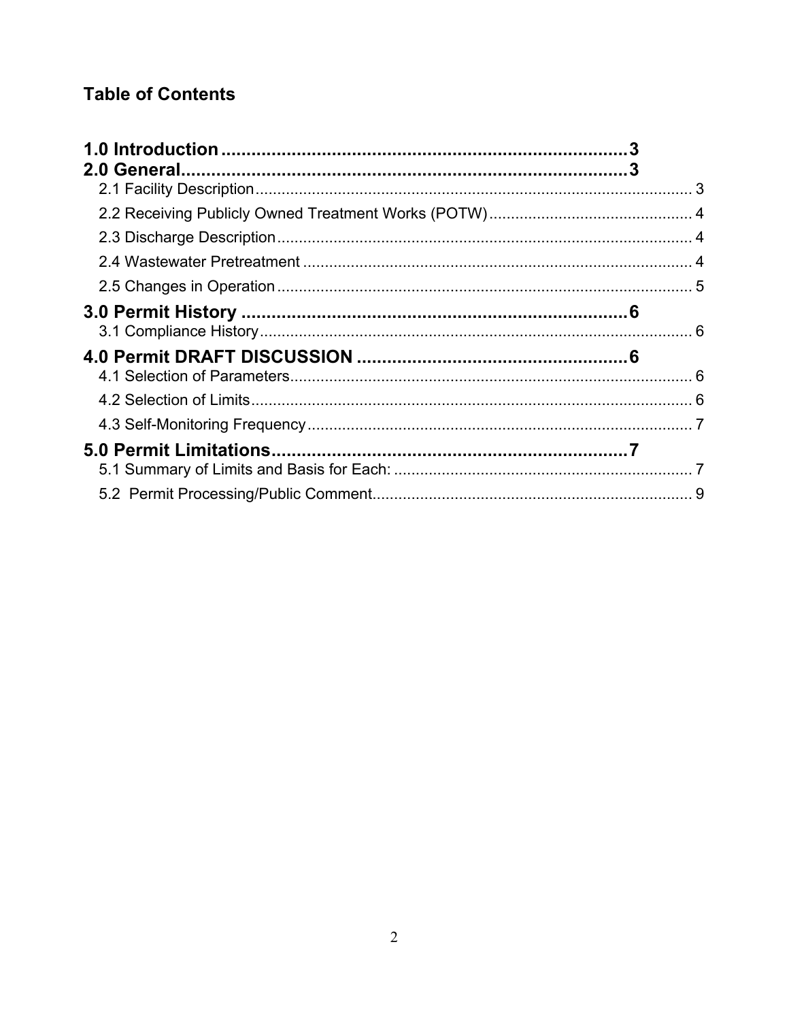# **Table of Contents**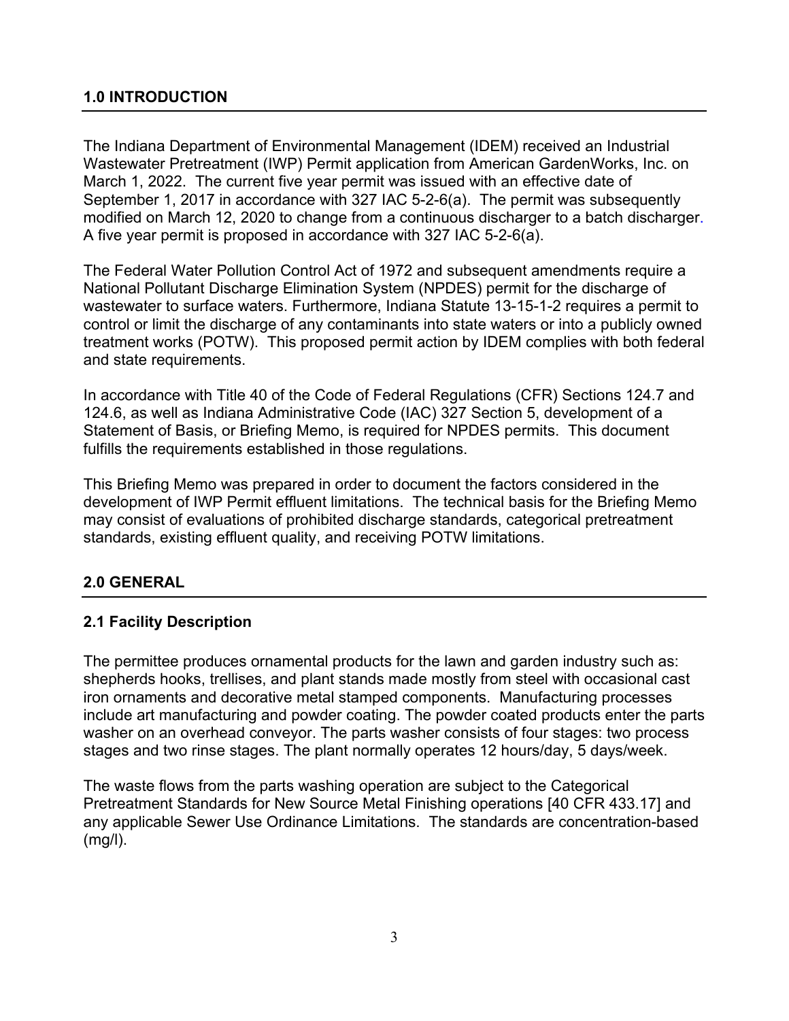#### <span id="page-31-0"></span>**1.0 INTRODUCTION**

The Indiana Department of Environmental Management (IDEM) received an Industrial Wastewater Pretreatment (IWP) Permit application from American GardenWorks, Inc. on March 1, 2022. The current five year permit was issued with an effective date of September 1, 2017 in accordance with 327 IAC 5-2-6(a). The permit was subsequently modified on March 12, 2020 to change from a continuous discharger to a batch discharger. A five year permit is proposed in accordance with 327 IAC 5-2-6(a).

The Federal Water Pollution Control Act of 1972 and subsequent amendments require a National Pollutant Discharge Elimination System (NPDES) permit for the discharge of wastewater to surface waters. Furthermore, Indiana Statute 13-15-1-2 requires a permit to control or limit the discharge of any contaminants into state waters or into a publicly owned treatment works (POTW). This proposed permit action by IDEM complies with both federal and state requirements.

In accordance with Title 40 of the Code of Federal Regulations (CFR) Sections 124.7 and 124.6, as well as Indiana Administrative Code (IAC) 327 Section 5, development of a Statement of Basis, or Briefing Memo, is required for NPDES permits. This document fulfills the requirements established in those regulations.

This Briefing Memo was prepared in order to document the factors considered in the development of IWP Permit effluent limitations. The technical basis for the Briefing Memo may consist of evaluations of prohibited discharge standards, categorical pretreatment standards, existing effluent quality, and receiving POTW limitations.

### <span id="page-31-1"></span>**2.0 GENERAL**

#### <span id="page-31-2"></span>**2.1 Facility Description**

The permittee produces ornamental products for the lawn and garden industry such as: shepherds hooks, trellises, and plant stands made mostly from steel with occasional cast iron ornaments and decorative metal stamped components. Manufacturing processes include art manufacturing and powder coating. The powder coated products enter the parts washer on an overhead conveyor. The parts washer consists of four stages: two process stages and two rinse stages. The plant normally operates 12 hours/day, 5 days/week.

The waste flows from the parts washing operation are subject to the Categorical Pretreatment Standards for New Source Metal Finishing operations [40 CFR 433.17] and any applicable Sewer Use Ordinance Limitations. The standards are concentration-based (mg/l).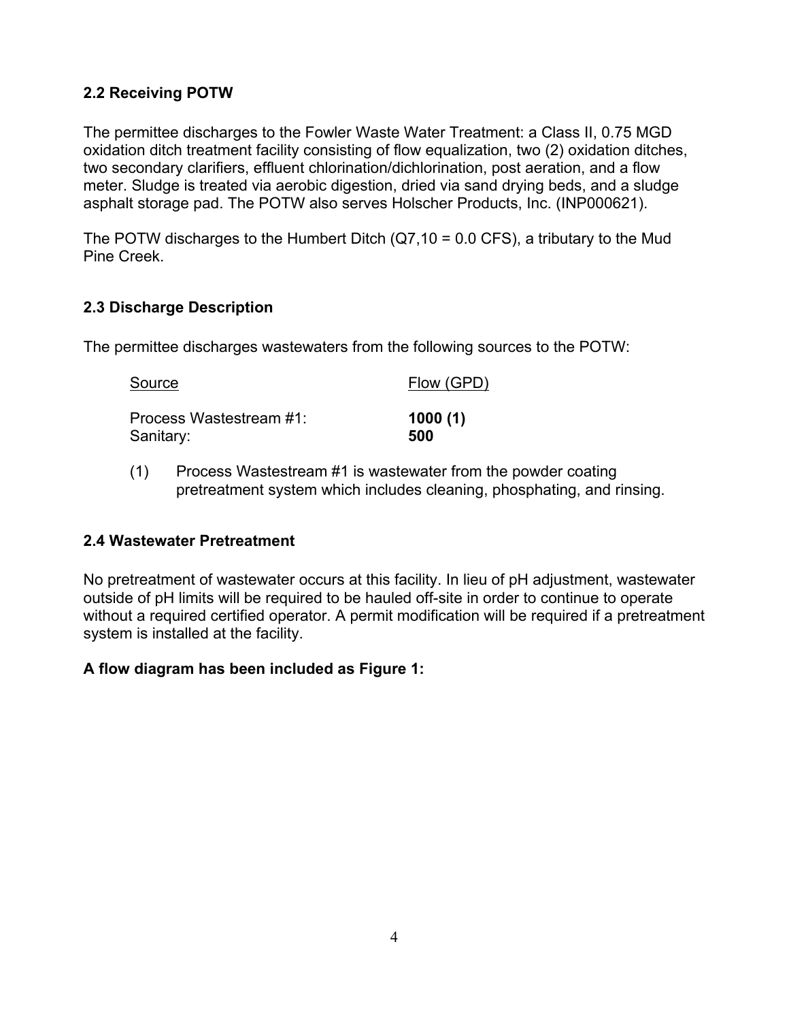### <span id="page-32-0"></span>**2.2 Receiving POTW**

The permittee discharges to the Fowler Waste Water Treatment: a Class II, 0.75 MGD oxidation ditch treatment facility consisting of flow equalization, two (2) oxidation ditches, two secondary clarifiers, effluent chlorination/dichlorination, post aeration, and a flow meter. Sludge is treated via aerobic digestion, dried via sand drying beds, and a sludge asphalt storage pad. The POTW also serves Holscher Products, Inc. (INP000621).

The POTW discharges to the Humbert Ditch (Q7,10 = 0.0 CFS), a tributary to the Mud Pine Creek.

### <span id="page-32-1"></span>**2.3 Discharge Description**

The permittee discharges wastewaters from the following sources to the POTW:

| Source                  | Flow (GPD) |
|-------------------------|------------|
| Process Wastestream #1: | 1000(1)    |
| Sanitary:               | 500        |

(1) Process Wastestream #1 is wastewater from the powder coating pretreatment system which includes cleaning, phosphating, and rinsing.

### <span id="page-32-2"></span>**2.4 Wastewater Pretreatment**

No pretreatment of wastewater occurs at this facility. In lieu of pH adjustment, wastewater outside of pH limits will be required to be hauled off-site in order to continue to operate without a required certified operator. A permit modification will be required if a pretreatment system is installed at the facility.

### **A flow diagram has been included as Figure 1:**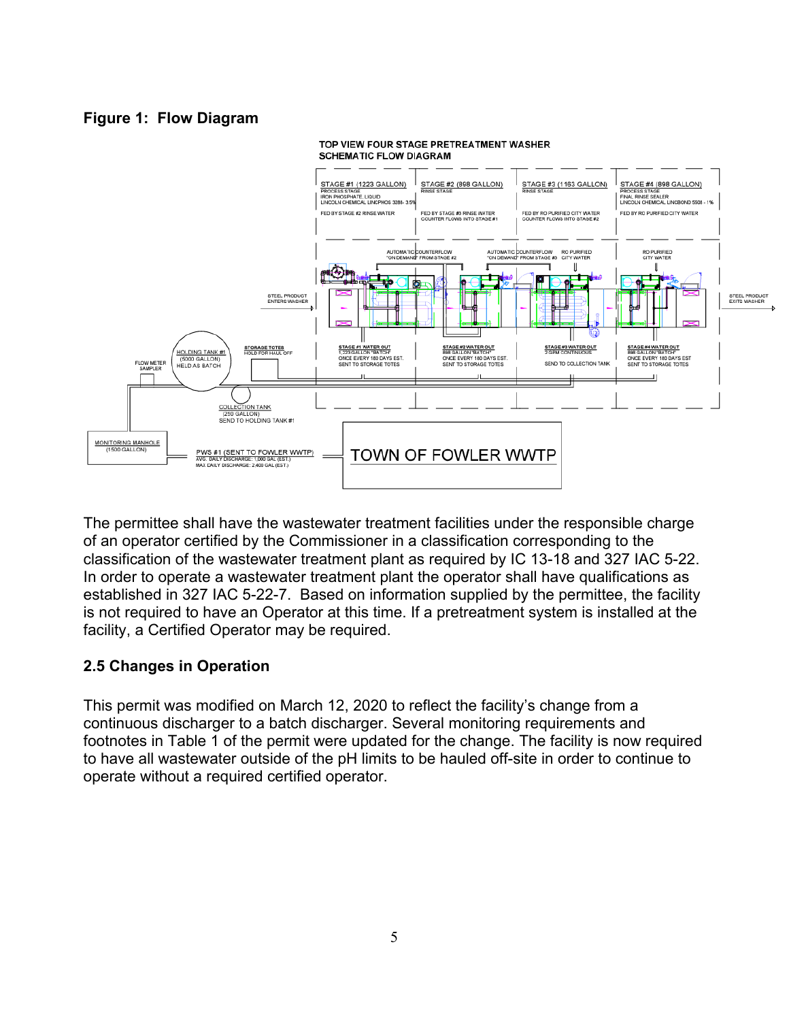#### **Figure 1: Flow Diagram**



#### TOP VIEW FOUR STAGE PRETREATMENT WASHER **SCHEMATIC FLOW DIAGRAM**

The permittee shall have the wastewater treatment facilities under the responsible charge of an operator certified by the Commissioner in a classification corresponding to the classification of the wastewater treatment plant as required by IC 13-18 and 327 IAC 5-22. In order to operate a wastewater treatment plant the operator shall have qualifications as established in 327 IAC 5-22-7. Based on information supplied by the permittee, the facility is not required to have an Operator at this time. If a pretreatment system is installed at the facility, a Certified Operator may be required.

### <span id="page-33-0"></span>**2.5 Changes in Operation**

This permit was modified on March 12, 2020 to reflect the facility's change from a continuous discharger to a batch discharger. Several monitoring requirements and footnotes in Table 1 of the permit were updated for the change. The facility is now required to have all wastewater outside of the pH limits to be hauled off-site in order to continue to operate without a required certified operator.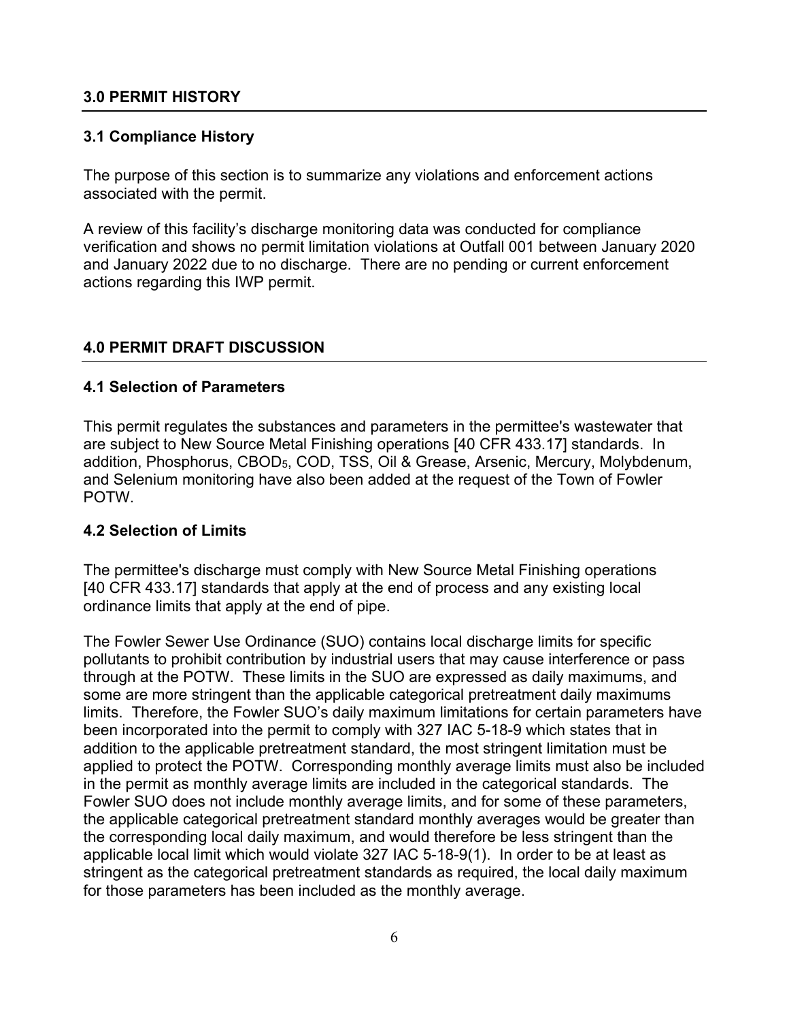#### <span id="page-34-0"></span>**3.0 PERMIT HISTORY**

#### <span id="page-34-1"></span>**3.1 Compliance History**

The purpose of this section is to summarize any violations and enforcement actions associated with the permit.

A review of this facility's discharge monitoring data was conducted for compliance verification and shows no permit limitation violations at Outfall 001 between January 2020 and January 2022 due to no discharge. There are no pending or current enforcement actions regarding this IWP permit.

#### <span id="page-34-2"></span>**4.0 PERMIT DRAFT DISCUSSION**

#### <span id="page-34-3"></span>**4.1 Selection of Parameters**

This permit regulates the substances and parameters in the permittee's wastewater that are subject to New Source Metal Finishing operations [40 CFR 433.17] standards. In addition, Phosphorus, CBOD5, COD, TSS, Oil & Grease, Arsenic, Mercury, Molybdenum, and Selenium monitoring have also been added at the request of the Town of Fowler POTW.

#### <span id="page-34-4"></span>**4.2 Selection of Limits**

The permittee's discharge must comply with New Source Metal Finishing operations [40 CFR 433.17] standards that apply at the end of process and any existing local ordinance limits that apply at the end of pipe.

The Fowler Sewer Use Ordinance (SUO) contains local discharge limits for specific pollutants to prohibit contribution by industrial users that may cause interference or pass through at the POTW. These limits in the SUO are expressed as daily maximums, and some are more stringent than the applicable categorical pretreatment daily maximums limits. Therefore, the Fowler SUO's daily maximum limitations for certain parameters have been incorporated into the permit to comply with 327 IAC 5-18-9 which states that in addition to the applicable pretreatment standard, the most stringent limitation must be applied to protect the POTW. Corresponding monthly average limits must also be included in the permit as monthly average limits are included in the categorical standards. The Fowler SUO does not include monthly average limits, and for some of these parameters, the applicable categorical pretreatment standard monthly averages would be greater than the corresponding local daily maximum, and would therefore be less stringent than the applicable local limit which would violate 327 IAC 5-18-9(1). In order to be at least as stringent as the categorical pretreatment standards as required, the local daily maximum for those parameters has been included as the monthly average.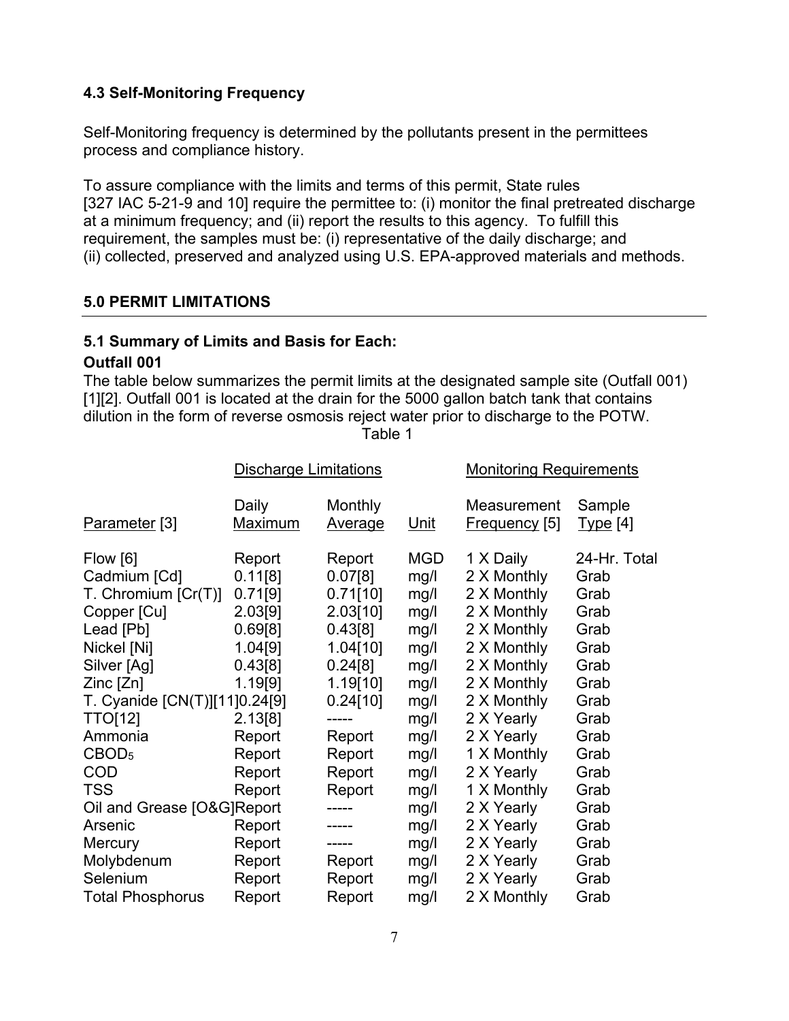## <span id="page-35-0"></span>**4.3 Self-Monitoring Frequency**

Self-Monitoring frequency is determined by the pollutants present in the permittees process and compliance history.

To assure compliance with the limits and terms of this permit, State rules [327 IAC 5-21-9 and 10] require the permittee to: (i) monitor the final pretreated discharge at a minimum frequency; and (ii) report the results to this agency. To fulfill this requirement, the samples must be: (i) representative of the daily discharge; and (ii) collected, preserved and analyzed using U.S. EPA-approved materials and methods.

#### <span id="page-35-1"></span>**5.0 PERMIT LIMITATIONS**

#### <span id="page-35-2"></span>**5.1 Summary of Limits and Basis for Each:**

#### **Outfall 001**

The table below summarizes the permit limits at the designated sample site (Outfall 001) [1][2]. Outfall 001 is located at the drain for the 5000 gallon batch tank that contains dilution in the form of reverse osmosis reject water prior to discharge to the POTW.

Discharge Limitations Monitoring Requirements Daily Monthly Measurement Sample Parameter [3] Maximum Average Unit Frequency [5] Type [4] Flow [6] Report Report MGD 1 X Daily 24-Hr. Total Cadmium [Cd] 0.11[8] 0.07[8] mg/l 2 X Monthly Grab T. Chromium [Cr(T)] 0.71[9] 0.71[10] mg/l 2 X Monthly Grab Copper [Cu] 2.03[9] 2.03[10] mg/l 2 X Monthly Grab Lead [Pb] 0.69[8] 0.43[8] mg/l 2 X Monthly Grab Nickel [Ni] 1.04[9] 1.04[10] mg/l 2 X Monthly Grab Silver [Ag] 0.43[8] 0.24[8] mg/l 2 X Monthly Grab Zinc [Zn] 1.19[9] 1.19[10] mg/l 2 X Monthly Grab T. Cyanide [CN(T)][11]0.24[9] 0.24[10] mg/l 2 X Monthly Grab TTO[12] 2.13[8] ----- mg/l 2 X Yearly Grab Ammonia Report Report mg/l 2 X Yearly Grab CBOD<sub>5</sub> Report Report mg/l 1 X Monthly Grab COD Report Report mg/l 2 X Yearly Grab TSS Report Report mg/l 1 X Monthly Grab Oil and Grease [O&G]Report ----- mg/l 2 X Yearly Grab Arsenic **Report** ----- mg/l 2 X Yearly Grab Mercury **Report** ----- mg/l 2 X Yearly Grab Molybdenum Report Report mg/l 2 X Yearly Grab Selenium Report Report mg/l 2 X Yearly Grab Total Phosphorus Report Report mg/l 2 X Monthly Grab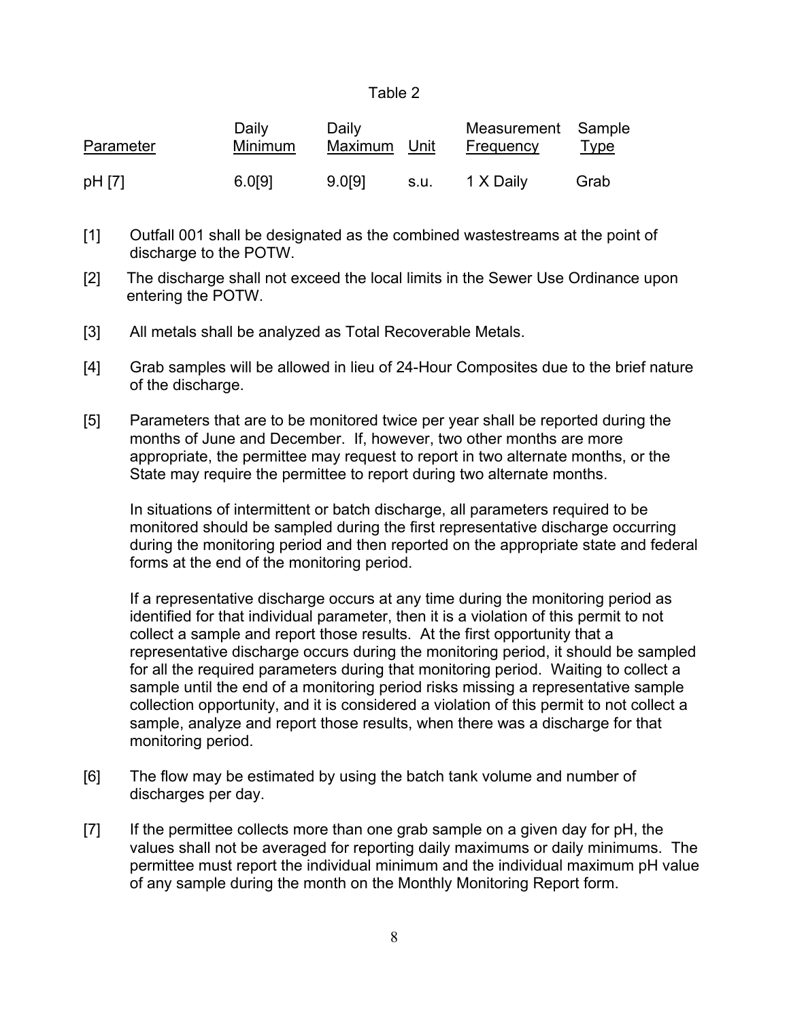| abie |  |
|------|--|
|      |  |

| Parameter | Daily<br><b>Minimum</b> | Daily<br>Maximum Unit |      | Measurement Sample<br>Frequency | <u>Type</u> |
|-----------|-------------------------|-----------------------|------|---------------------------------|-------------|
| pH [7]    | 6.0[9]                  | 9.0191                | s.u. | 1 X Daily                       | Grab        |

- [1] Outfall 001 shall be designated as the combined wastestreams at the point of discharge to the POTW.
- [2] The discharge shall not exceed the local limits in the Sewer Use Ordinance upon entering the POTW.
- [3] All metals shall be analyzed as Total Recoverable Metals.
- [4] Grab samples will be allowed in lieu of 24-Hour Composites due to the brief nature of the discharge.
- [5] Parameters that are to be monitored twice per year shall be reported during the months of June and December. If, however, two other months are more appropriate, the permittee may request to report in two alternate months, or the State may require the permittee to report during two alternate months.

In situations of intermittent or batch discharge, all parameters required to be monitored should be sampled during the first representative discharge occurring during the monitoring period and then reported on the appropriate state and federal forms at the end of the monitoring period.

If a representative discharge occurs at any time during the monitoring period as identified for that individual parameter, then it is a violation of this permit to not collect a sample and report those results. At the first opportunity that a representative discharge occurs during the monitoring period, it should be sampled for all the required parameters during that monitoring period. Waiting to collect a sample until the end of a monitoring period risks missing a representative sample collection opportunity, and it is considered a violation of this permit to not collect a sample, analyze and report those results, when there was a discharge for that monitoring period.

- [6] The flow may be estimated by using the batch tank volume and number of discharges per day.
- [7] If the permittee collects more than one grab sample on a given day for pH, the values shall not be averaged for reporting daily maximums or daily minimums. The permittee must report the individual minimum and the individual maximum pH value of any sample during the month on the Monthly Monitoring Report form.